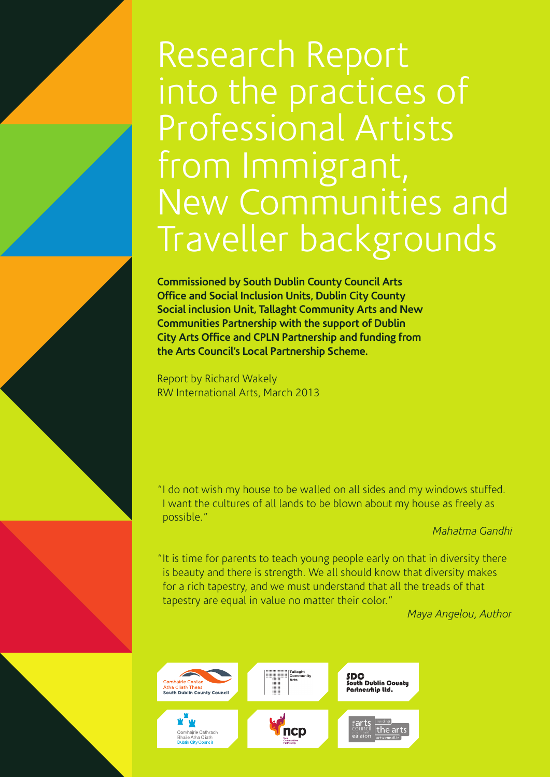# Research Report into the practices of Professional Artists from Immigrant, New Communities and Traveller backgrounds

**Commissioned by South Dublin County Council Arts Office and Social Inclusion Units, Dublin City County Social inclusion Unit, Tallaght Community Arts and New Communities Partnership with the support of Dublin City Arts Office and CPLN Partnership and funding from the Arts Council's Local Partnership Scheme.**

Report by Richard Wakely RW International Arts, March 2013

"I do not wish my house to be walled on all sides and my windows stuffed. I want the cultures of all lands to be blown about my house as freely as possible."

## *Mahatma Gandhi*

"It is time for parents to teach young people early on that in diversity there is beauty and there is strength. We all should know that diversity makes for a rich tapestry, and we must understand that all the treads of that tapestry are equal in value no matter their color."

*Maya Angelou, Author*

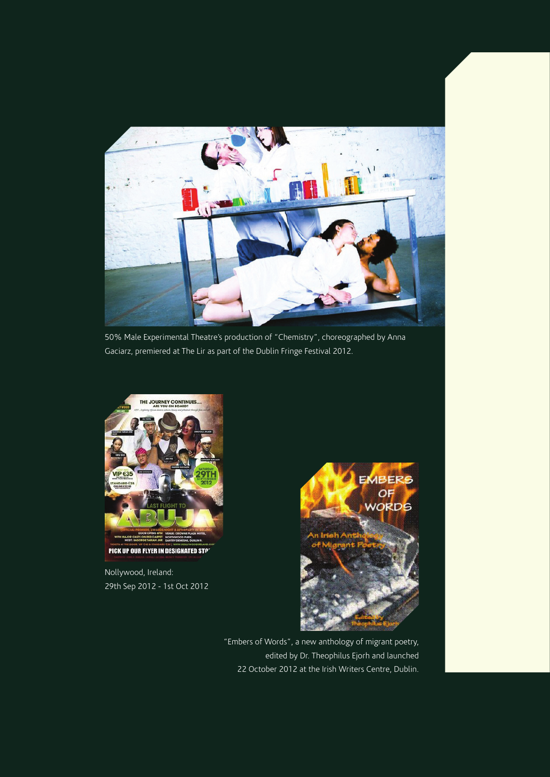

50% Male Experimental Theatre's production of "Chemistry", choreographed by Anna Gaciarz, premiered at The Lir as part of the Dublin Fringe Festival 2012.



PICK UP OUR FLYER IN DESIGNATED STO'

Nollywood, Ireland: 29th Sep 2012 - 1st Oct 2012



"Embers of Words", a new anthology of migrant poetry, edited by Dr. Theophilus Ejorh and launched 22 October 2012 at the Irish Writers Centre, Dublin.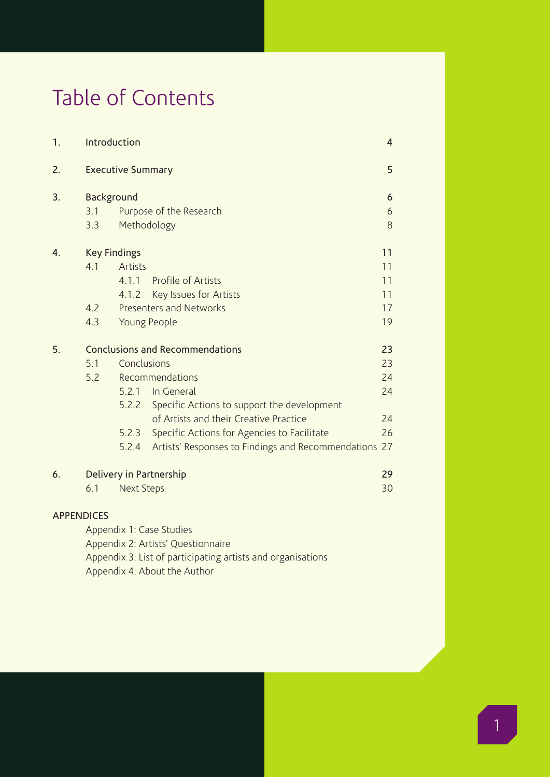## Table of Contents

| 1. | Introduction                           |                          |                                                       |    |  |
|----|----------------------------------------|--------------------------|-------------------------------------------------------|----|--|
| 2. |                                        | <b>Executive Summary</b> |                                                       |    |  |
| 3. | Background                             |                          |                                                       |    |  |
|    | 3.1                                    |                          | Purpose of the Research                               | 6  |  |
|    | 3.3                                    | Methodology              |                                                       | 8  |  |
| 4. | <b>Key Findings</b>                    |                          |                                                       |    |  |
|    | 4.1                                    | <b>Artists</b>           |                                                       | 11 |  |
|    |                                        | 4.1.1                    | Profile of Artists                                    | 11 |  |
|    |                                        | 4.1.2                    | Key Issues for Artists                                | 11 |  |
|    | 4.2                                    |                          | Presenters and Networks                               | 17 |  |
|    | 4.3                                    | Young People             |                                                       | 19 |  |
| 5. | <b>Conclusions and Recommendations</b> |                          |                                                       |    |  |
|    | 5.1                                    | Conclusions              |                                                       | 23 |  |
|    | 5.2                                    |                          | Recommendations                                       | 24 |  |
|    |                                        |                          | 5.2.1 In General                                      | 24 |  |
|    |                                        |                          | 5.2.2 Specific Actions to support the development     |    |  |
|    |                                        |                          | of Artists and their Creative Practice                | 24 |  |
|    |                                        | 5.2.3                    | Specific Actions for Agencies to Facilitate           | 26 |  |
|    |                                        | 5.2.4                    | Artists' Responses to Findings and Recommendations 27 |    |  |
| 6. | Delivery in Partnership                |                          |                                                       |    |  |
|    | 6.1                                    | <b>Next Steps</b>        |                                                       | 30 |  |
|    |                                        |                          |                                                       |    |  |

## APPENDICES

Appendix 1: Case Studies Appendix 2: Artists' Questionnaire Appendix 3: List of participating artists and organisations Appendix 4: About the Author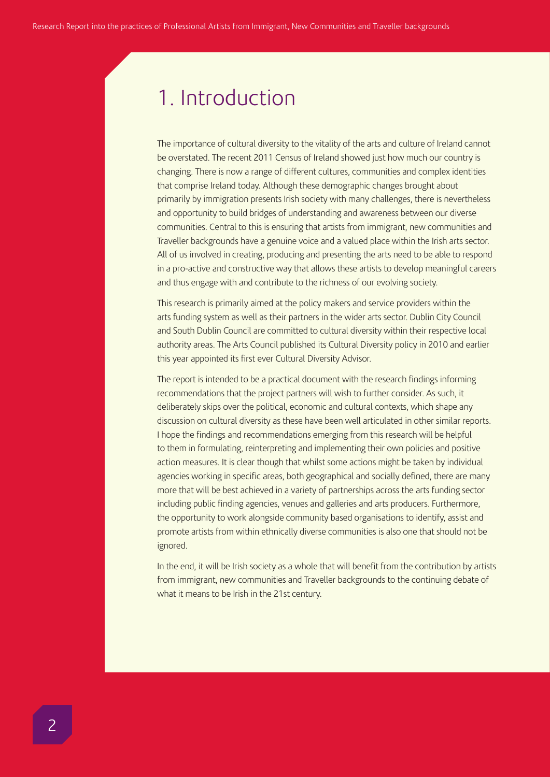## 1. Introduction

The importance of cultural diversity to the vitality of the arts and culture of Ireland cannot be overstated. The recent 2011 Census of Ireland showed just how much our country is changing. There is now a range of different cultures, communities and complex identities that comprise Ireland today. Although these demographic changes brought about primarily by immigration presents Irish society with many challenges, there is nevertheless and opportunity to build bridges of understanding and awareness between our diverse communities. Central to this is ensuring that artists from immigrant, new communities and Traveller backgrounds have a genuine voice and a valued place within the Irish arts sector. All of us involved in creating, producing and presenting the arts need to be able to respond in a pro-active and constructive way that allows these artists to develop meaningful careers and thus engage with and contribute to the richness of our evolving society.

This research is primarily aimed at the policy makers and service providers within the arts funding system as well as their partners in the wider arts sector. Dublin City Council and South Dublin Council are committed to cultural diversity within their respective local authority areas. The Arts Council published its Cultural Diversity policy in 2010 and earlier this year appointed its first ever Cultural Diversity Advisor.

The report is intended to be a practical document with the research findings informing recommendations that the project partners will wish to further consider. As such, it deliberately skips over the political, economic and cultural contexts, which shape any discussion on cultural diversity as these have been well articulated in other similar reports. I hope the findings and recommendations emerging from this research will be helpful to them in formulating, reinterpreting and implementing their own policies and positive action measures. It is clear though that whilst some actions might be taken by individual agencies working in specific areas, both geographical and socially defined, there are many more that will be best achieved in a variety of partnerships across the arts funding sector including public finding agencies, venues and galleries and arts producers. Furthermore, the opportunity to work alongside community based organisations to identify, assist and promote artists from within ethnically diverse communities is also one that should not be ignored.

In the end, it will be Irish society as a whole that will benefit from the contribution by artists from immigrant, new communities and Traveller backgrounds to the continuing debate of what it means to be Irish in the 21st century.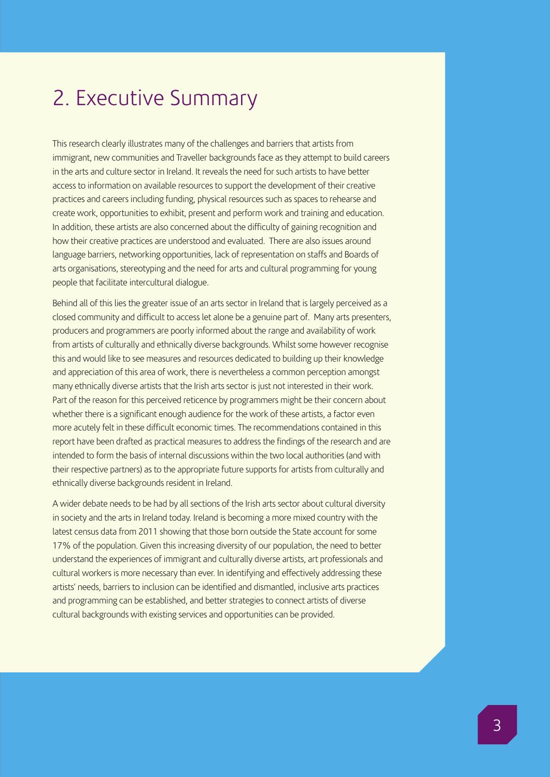## 2. Executive Summary

This research clearly illustrates many of the challenges and barriers that artists from immigrant, new communities and Traveller backgrounds face as they attempt to build careers in the arts and culture sector in Ireland. It reveals the need for such artists to have better access to information on available resources to support the development of their creative practices and careers including funding, physical resources such as spaces to rehearse and create work, opportunities to exhibit, present and perform work and training and education. In addition, these artists are also concerned about the difficulty of gaining recognition and how their creative practices are understood and evaluated. There are also issues around language barriers, networking opportunities, lack of representation on staffs and Boards of arts organisations, stereotyping and the need for arts and cultural programming for young people that facilitate intercultural dialogue.

Behind all of this lies the greater issue of an arts sector in Ireland that is largely perceived as a closed community and difficult to access let alone be a genuine part of. Many arts presenters, producers and programmers are poorly informed about the range and availability of work from artists of culturally and ethnically diverse backgrounds. Whilst some however recognise this and would like to see measures and resources dedicated to building up their knowledge and appreciation of this area of work, there is nevertheless a common perception amongst many ethnically diverse artists that the Irish arts sector is just not interested in their work. Part of the reason for this perceived reticence by programmers might be their concern about whether there is a significant enough audience for the work of these artists, a factor even more acutely felt in these difficult economic times. The recommendations contained in this report have been drafted as practical measures to address the findings of the research and are intended to form the basis of internal discussions within the two local authorities (and with their respective partners) as to the appropriate future supports for artists from culturally and ethnically diverse backgrounds resident in Ireland.

A wider debate needs to be had by all sections of the Irish arts sector about cultural diversity in society and the arts in Ireland today. Ireland is becoming a more mixed country with the latest census data from 2011 showing that those born outside the State account for some 17% of the population. Given this increasing diversity of our population, the need to better understand the experiences of immigrant and culturally diverse artists, art professionals and cultural workers is more necessary than ever. In identifying and effectively addressing these artists' needs, barriers to inclusion can be identified and dismantled, inclusive arts practices and programming can be established, and better strategies to connect artists of diverse cultural backgrounds with existing services and opportunities can be provided.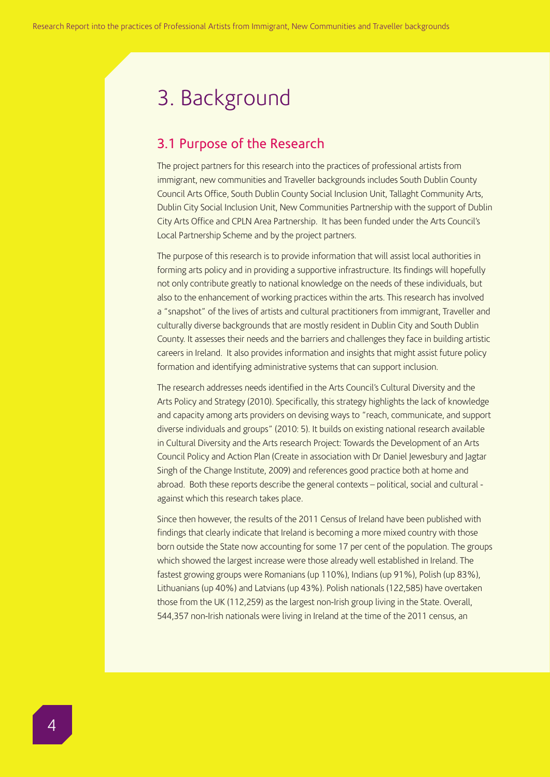## 3. Background

## 3.1 Purpose of the Research

The project partners for this research into the practices of professional artists from immigrant, new communities and Traveller backgrounds includes South Dublin County Council Arts Office, South Dublin County Social Inclusion Unit, Tallaght Community Arts, Dublin City Social Inclusion Unit, New Communities Partnership with the support of Dublin City Arts Office and CPLN Area Partnership. It has been funded under the Arts Council's Local Partnership Scheme and by the project partners.

The purpose of this research is to provide information that will assist local authorities in forming arts policy and in providing a supportive infrastructure. Its findings will hopefully not only contribute greatly to national knowledge on the needs of these individuals, but also to the enhancement of working practices within the arts. This research has involved a "snapshot" of the lives of artists and cultural practitioners from immigrant, Traveller and culturally diverse backgrounds that are mostly resident in Dublin City and South Dublin County. It assesses their needs and the barriers and challenges they face in building artistic careers in Ireland. It also provides information and insights that might assist future policy formation and identifying administrative systems that can support inclusion.

The research addresses needs identified in the Arts Council's Cultural Diversity and the Arts Policy and Strategy (2010). Specifically, this strategy highlights the lack of knowledge and capacity among arts providers on devising ways to "reach, communicate, and support diverse individuals and groups" (2010: 5). It builds on existing national research available in Cultural Diversity and the Arts research Project: Towards the Development of an Arts Council Policy and Action Plan (Create in association with Dr Daniel Jewesbury and Jagtar Singh of the Change Institute, 2009) and references good practice both at home and abroad. Both these reports describe the general contexts – political, social and cultural against which this research takes place.

Since then however, the results of the 2011 Census of Ireland have been published with findings that clearly indicate that Ireland is becoming a more mixed country with those born outside the State now accounting for some 17 per cent of the population. The groups which showed the largest increase were those already well established in Ireland. The fastest growing groups were Romanians (up 110%), Indians (up 91%), Polish (up 83%), Lithuanians (up 40%) and Latvians (up 43%). Polish nationals (122,585) have overtaken those from the UK (112,259) as the largest non-Irish group living in the State. Overall, 544,357 non-Irish nationals were living in Ireland at the time of the 2011 census, an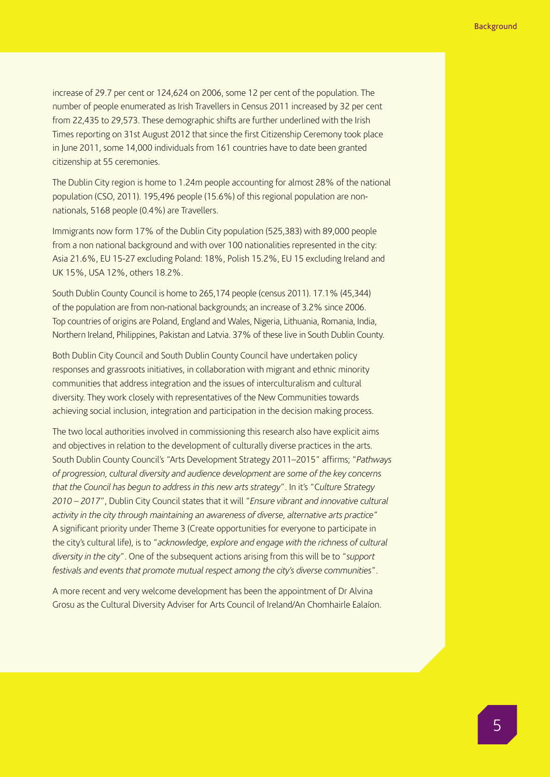increase of 29.7 per cent or 124,624 on 2006, some 12 per cent of the population. The number of people enumerated as Irish Travellers in Census 2011 increased by 32 per cent from 22,435 to 29,573. These demographic shifts are further underlined with the Irish Times reporting on 31st August 2012 that since the first Citizenship Ceremony took place in June 2011, some 14,000 individuals from 161 countries have to date been granted citizenship at 55 ceremonies.

The Dublin City region is home to 1.24m people accounting for almost 28% of the national population (CSO, 2011). 195,496 people (15.6%) of this regional population are nonnationals, 5168 people (0.4%) are Travellers.

Immigrants now form 17% of the Dublin City population (525,383) with 89,000 people from a non national background and with over 100 nationalities represented in the city: Asia 21.6%, EU 15-27 excluding Poland: 18%, Polish 15.2%, EU 15 excluding Ireland and UK 15%, USA 12%, others 18.2%.

South Dublin County Council is home to 265,174 people (census 2011). 17.1% (45,344) of the population are from non-national backgrounds; an increase of 3.2% since 2006. Top countries of origins are Poland, England and Wales, Nigeria, Lithuania, Romania, India, Northern Ireland, Philippines, Pakistan and Latvia. 37% of these live in South Dublin County.

Both Dublin City Council and South Dublin County Council have undertaken policy responses and grassroots initiatives, in collaboration with migrant and ethnic minority communities that address integration and the issues of interculturalism and cultural diversity. They work closely with representatives of the New Communities towards achieving social inclusion, integration and participation in the decision making process.

The two local authorities involved in commissioning this research also have explicit aims and objectives in relation to the development of culturally diverse practices in the arts. South Dublin County Council's "Arts Development Strategy 2011–2015" affirms; "*Pathways of progression, cultural diversity and audience development are some of the key concerns that the Council has begun to address in this new arts strategy*". In it's "C*ulture Strategy 2010 – 2017*", Dublin City Council states that it will "*Ensure vibrant and innovative cultural activity in the city through maintaining an awareness of diverse, alternative arts practice*" A significant priority under Theme 3 (Create opportunities for everyone to participate in the city's cultural life), is to "*acknowledge, explore and engage with the richness of cultural diversity in the city*". One of the subsequent actions arising from this will be to "*support festivals and events that promote mutual respect among the city's diverse communities*".

A more recent and very welcome development has been the appointment of Dr Alvina Grosu as the Cultural Diversity Adviser for Arts Council of Ireland/An Chomhairle Ealaíon.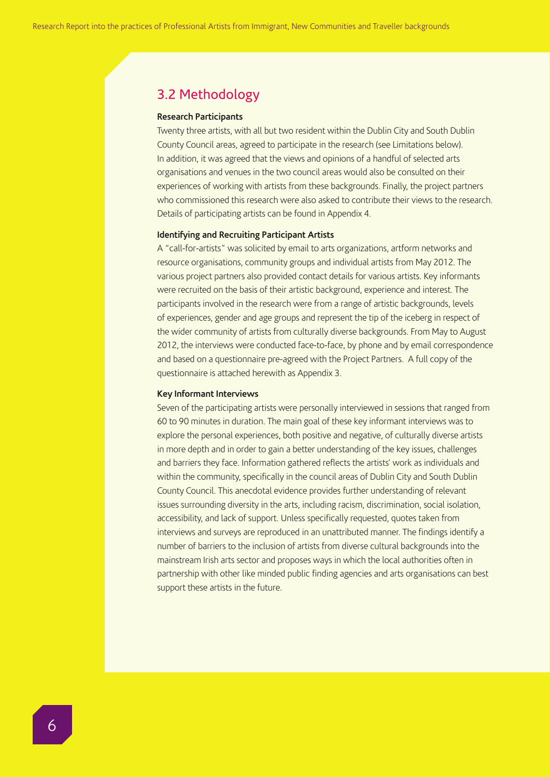## 3.2 Methodology

#### **Research Participants**

Twenty three artists, with all but two resident within the Dublin City and South Dublin County Council areas, agreed to participate in the research (see Limitations below). In addition, it was agreed that the views and opinions of a handful of selected arts organisations and venues in the two council areas would also be consulted on their experiences of working with artists from these backgrounds. Finally, the project partners who commissioned this research were also asked to contribute their views to the research. Details of participating artists can be found in Appendix 4.

#### **Identifying and Recruiting Participant Artists**

A "call-for-artists" was solicited by email to arts organizations, artform networks and resource organisations, community groups and individual artists from May 2012. The various project partners also provided contact details for various artists. Key informants were recruited on the basis of their artistic background, experience and interest. The participants involved in the research were from a range of artistic backgrounds, levels of experiences, gender and age groups and represent the tip of the iceberg in respect of the wider community of artists from culturally diverse backgrounds. From May to August 2012, the interviews were conducted face-to-face, by phone and by email correspondence and based on a questionnaire pre-agreed with the Project Partners. A full copy of the questionnaire is attached herewith as Appendix 3.

### **Key Informant Interviews**

Seven of the participating artists were personally interviewed in sessions that ranged from 60 to 90 minutes in duration. The main goal of these key informant interviews was to explore the personal experiences, both positive and negative, of culturally diverse artists in more depth and in order to gain a better understanding of the key issues, challenges and barriers they face. Information gathered reflects the artists' work as individuals and within the community, specifically in the council areas of Dublin City and South Dublin County Council. This anecdotal evidence provides further understanding of relevant issues surrounding diversity in the arts, including racism, discrimination, social isolation, accessibility, and lack of support. Unless specifically requested, quotes taken from interviews and surveys are reproduced in an unattributed manner. The findings identify a number of barriers to the inclusion of artists from diverse cultural backgrounds into the mainstream Irish arts sector and proposes ways in which the local authorities often in partnership with other like minded public finding agencies and arts organisations can best support these artists in the future.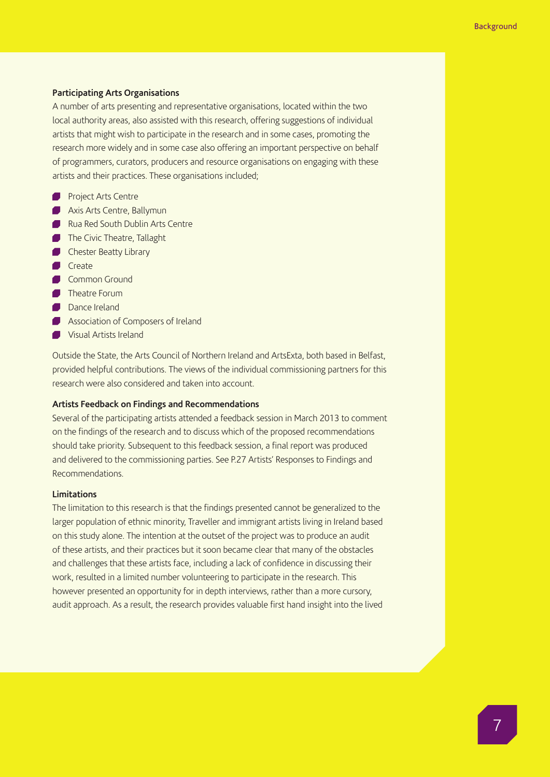#### **Participating Arts Organisations**

A number of arts presenting and representative organisations, located within the two local authority areas, also assisted with this research, offering suggestions of individual artists that might wish to participate in the research and in some cases, promoting the research more widely and in some case also offering an important perspective on behalf of programmers, curators, producers and resource organisations on engaging with these artists and their practices. These organisations included;

- **Project Arts Centre**
- **Axis Arts Centre, Ballymun**
- Rua Red South Dublin Arts Centre
- The Civic Theatre, Tallaght
- **Chester Beatty Library**
- Create
- Common Ground
- **Theatre Forum**
- **Dance Ireland**
- **Association of Composers of Ireland**
- **Visual Artists Ireland**

Outside the State, the Arts Council of Northern Ireland and ArtsExta, both based in Belfast, provided helpful contributions. The views of the individual commissioning partners for this research were also considered and taken into account.

## **Artists Feedback on Findings and Recommendations**

Several of the participating artists attended a feedback session in March 2013 to comment on the findings of the research and to discuss which of the proposed recommendations should take priority. Subsequent to this feedback session, a final report was produced and delivered to the commissioning parties. See P.27 Artists' Responses to Findings and Recommendations.

### **Limitations**

The limitation to this research is that the findings presented cannot be generalized to the larger population of ethnic minority, Traveller and immigrant artists living in Ireland based on this study alone. The intention at the outset of the project was to produce an audit of these artists, and their practices but it soon became clear that many of the obstacles and challenges that these artists face, including a lack of confidence in discussing their work, resulted in a limited number volunteering to participate in the research. This however presented an opportunity for in depth interviews, rather than a more cursory, audit approach. As a result, the research provides valuable first hand insight into the lived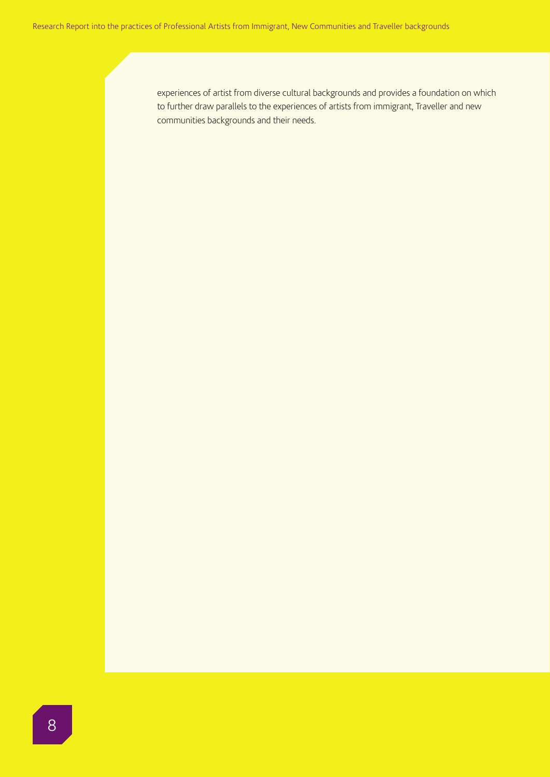experiences of artist from diverse cultural backgrounds and provides a foundation on which to further draw parallels to the experiences of artists from immigrant, Traveller and new communities backgrounds and their needs.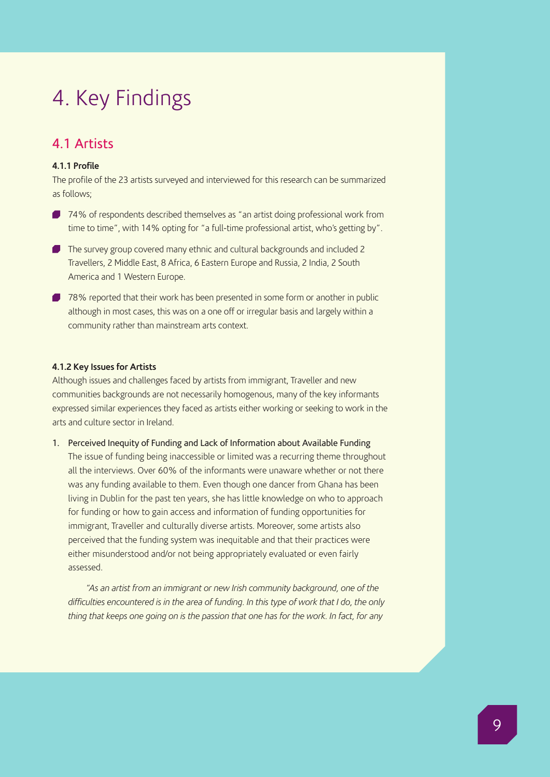## 4. Key Findings

## 4.1 Artists

## **4.1.1 Profile**

The profile of the 23 artists surveyed and interviewed for this research can be summarized as follows;

- 74% of respondents described themselves as "an artist doing professional work from time to time", with 14% opting for "a full-time professional artist, who's getting by".
- The survey group covered many ethnic and cultural backgrounds and included 2 Travellers, 2 Middle East, 8 Africa, 6 Eastern Europe and Russia, 2 India, 2 South America and 1 Western Europe.
- **78%** reported that their work has been presented in some form or another in public although in most cases, this was on a one off or irregular basis and largely within a community rather than mainstream arts context.

### **4.1.2 Key Issues for Artists**

Although issues and challenges faced by artists from immigrant, Traveller and new communities backgrounds are not necessarily homogenous, many of the key informants expressed similar experiences they faced as artists either working or seeking to work in the arts and culture sector in Ireland.

### 1. Perceived Inequity of Funding and Lack of Information about Available Funding

The issue of funding being inaccessible or limited was a recurring theme throughout all the interviews. Over 60% of the informants were unaware whether or not there was any funding available to them. Even though one dancer from Ghana has been living in Dublin for the past ten years, she has little knowledge on who to approach for funding or how to gain access and information of funding opportunities for immigrant, Traveller and culturally diverse artists. Moreover, some artists also perceived that the funding system was inequitable and that their practices were either misunderstood and/or not being appropriately evaluated or even fairly assessed.

*"As an artist from an immigrant or new Irish community background, one of the difficulties encountered is in the area of funding. In this type of work that I do, the only thing that keeps one going on is the passion that one has for the work. In fact, for any*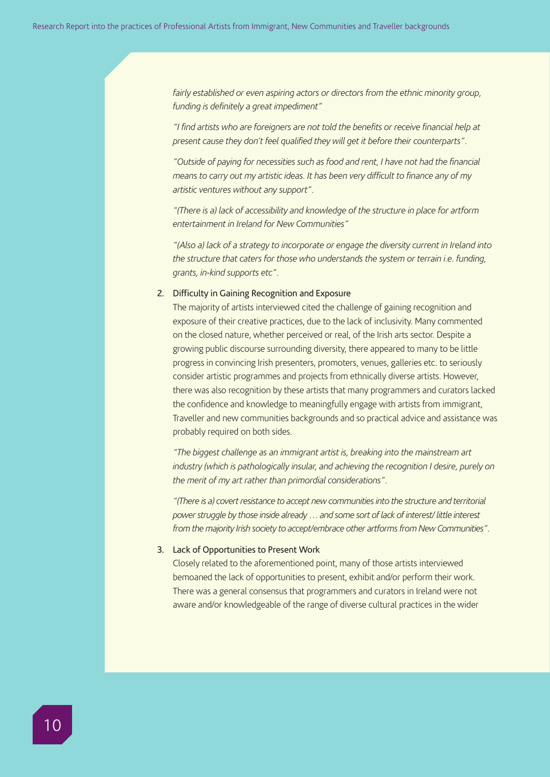*fairly established or even aspiring actors or directors from the ethnic minority group, funding is definitely a great impediment"*

*"I find artists who are foreigners are not told the benefits or receive financial help at present cause they don't feel qualified they will get it before their counterparts".*

*"Outside of paying for necessities such as food and rent, I have not had the financial means to carry out my artistic ideas. It has been very difficult to finance any of my artistic ventures without any support".*

*"(There is a) lack of accessibility and knowledge of the structure in place for artform entertainment in Ireland for New Communities"*

*"(Also a) lack of a strategy to incorporate or engage the diversity current in Ireland into the structure that caters for those who understands the system or terrain i.e. funding, grants, in-kind supports etc".*

## 2. Difficulty in Gaining Recognition and Exposure

The majority of artists interviewed cited the challenge of gaining recognition and exposure of their creative practices, due to the lack of inclusivity. Many commented on the closed nature, whether perceived or real, of the Irish arts sector. Despite a growing public discourse surrounding diversity, there appeared to many to be little progress in convincing Irish presenters, promoters, venues, galleries etc. to seriously consider artistic programmes and projects from ethnically diverse artists. However, there was also recognition by these artists that many programmers and curators lacked the confidence and knowledge to meaningfully engage with artists from immigrant, Traveller and new communities backgrounds and so practical advice and assistance was probably required on both sides.

*"The biggest challenge as an immigrant artist is, breaking into the mainstream art industry (which is pathologically insular, and achieving the recognition I desire, purely on the merit of my art rather than primordial considerations".*

*"(There is a) covert resistance to accept new communities into the structure and territorial power struggle by those inside already … and some sort of lack of interest/ little interest from the majority Irish society to accept/embrace other artforms from New Communities".*

## 3. Lack of Opportunities to Present Work

Closely related to the aforementioned point, many of those artists interviewed bemoaned the lack of opportunities to present, exhibit and/or perform their work. There was a general consensus that programmers and curators in Ireland were not aware and/or knowledgeable of the range of diverse cultural practices in the wider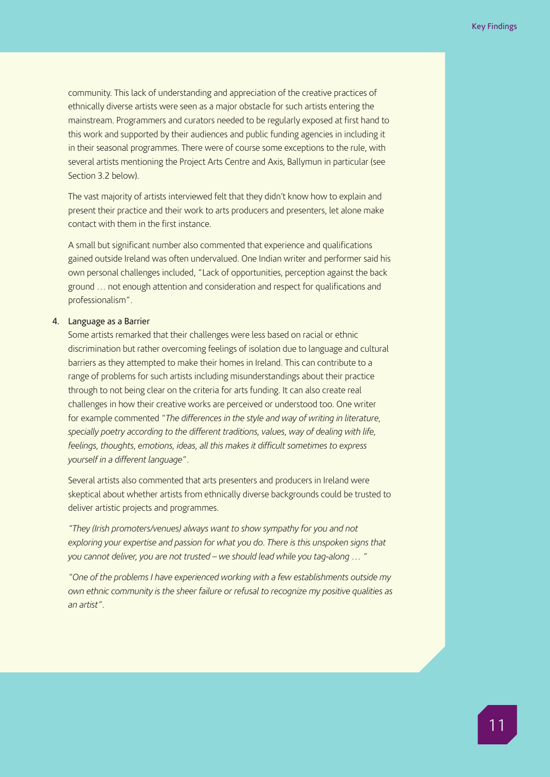community. This lack of understanding and appreciation of the creative practices of ethnically diverse artists were seen as a major obstacle for such artists entering the mainstream. Programmers and curators needed to be regularly exposed at first hand to this work and supported by their audiences and public funding agencies in including it in their seasonal programmes. There were of course some exceptions to the rule, with several artists mentioning the Project Arts Centre and Axis, Ballymun in particular (see Section 3.2 below).

The vast majority of artists interviewed felt that they didn't know how to explain and present their practice and their work to arts producers and presenters, let alone make contact with them in the first instance.

A small but significant number also commented that experience and qualifications gained outside Ireland was often undervalued. One Indian writer and performer said his own personal challenges included, "Lack of opportunities, perception against the back ground … not enough attention and consideration and respect for qualifications and professionalism".

## 4. Language as a Barrier

Some artists remarked that their challenges were less based on racial or ethnic discrimination but rather overcoming feelings of isolation due to language and cultural barriers as they attempted to make their homes in Ireland. This can contribute to a range of problems for such artists including misunderstandings about their practice through to not being clear on the criteria for arts funding. It can also create real challenges in how their creative works are perceived or understood too. One writer for example commented "*The differences in the style and way of writing in literature, specially poetry according to the different traditions, values, way of dealing with life, feelings, thoughts, emotions, ideas, all this makes it difficult sometimes to express yourself in a different language*".

Several artists also commented that arts presenters and producers in Ireland were skeptical about whether artists from ethnically diverse backgrounds could be trusted to deliver artistic projects and programmes.

*"They (Irish promoters/venues) always want to show sympathy for you and not exploring your expertise and passion for what you do. There is this unspoken signs that you cannot deliver, you are not trusted – we should lead while you tag-along … "*

*"One of the problems I have experienced working with a few establishments outside my own ethnic community is the sheer failure or refusal to recognize my positive qualities as an artist".*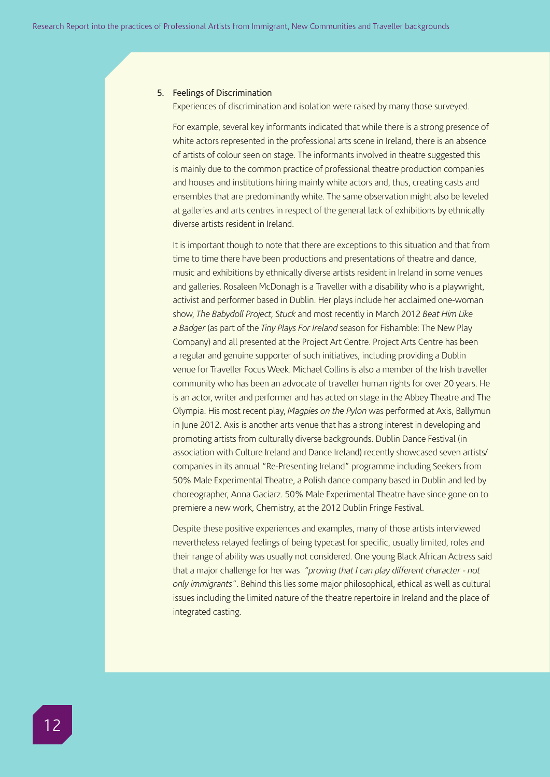### 5. Feelings of Discrimination

Experiences of discrimination and isolation were raised by many those surveyed.

For example, several key informants indicated that while there is a strong presence of white actors represented in the professional arts scene in Ireland, there is an absence of artists of colour seen on stage. The informants involved in theatre suggested this is mainly due to the common practice of professional theatre production companies and houses and institutions hiring mainly white actors and, thus, creating casts and ensembles that are predominantly white. The same observation might also be leveled at galleries and arts centres in respect of the general lack of exhibitions by ethnically diverse artists resident in Ireland.

It is important though to note that there are exceptions to this situation and that from time to time there have been productions and presentations of theatre and dance, music and exhibitions by ethnically diverse artists resident in Ireland in some venues and galleries. Rosaleen McDonagh is a Traveller with a disability who is a playwright, activist and performer based in Dublin. Her plays include her acclaimed one-woman show, *The Babydoll Project, Stuck* and most recently in March 2012 *Beat Him Like a Badger* (as part of the *Tiny Plays For Ireland* season for Fishamble: The New Play Company) and all presented at the Project Art Centre. Project Arts Centre has been a regular and genuine supporter of such initiatives, including providing a Dublin venue for Traveller Focus Week. Michael Collins is also a member of the Irish traveller community who has been an advocate of traveller human rights for over 20 years. He is an actor, writer and performer and has acted on stage in the Abbey Theatre and The Olympia. His most recent play, *Magpies on the Pylon* was performed at Axis, Ballymun in June 2012. Axis is another arts venue that has a strong interest in developing and promoting artists from culturally diverse backgrounds. Dublin Dance Festival (in association with Culture Ireland and Dance Ireland) recently showcased seven artists/ companies in its annual "Re-Presenting Ireland" programme including Seekers from 50% Male Experimental Theatre, a Polish dance company based in Dublin and led by choreographer, Anna Gaciarz. 50% Male Experimental Theatre have since gone on to premiere a new work, Chemistry, at the 2012 Dublin Fringe Festival.

Despite these positive experiences and examples, many of those artists interviewed nevertheless relayed feelings of being typecast for specific, usually limited, roles and their range of ability was usually not considered. One young Black African Actress said that a major challenge for her was *"proving that I can play different character - not only immigrants"*. Behind this lies some major philosophical, ethical as well as cultural issues including the limited nature of the theatre repertoire in Ireland and the place of integrated casting.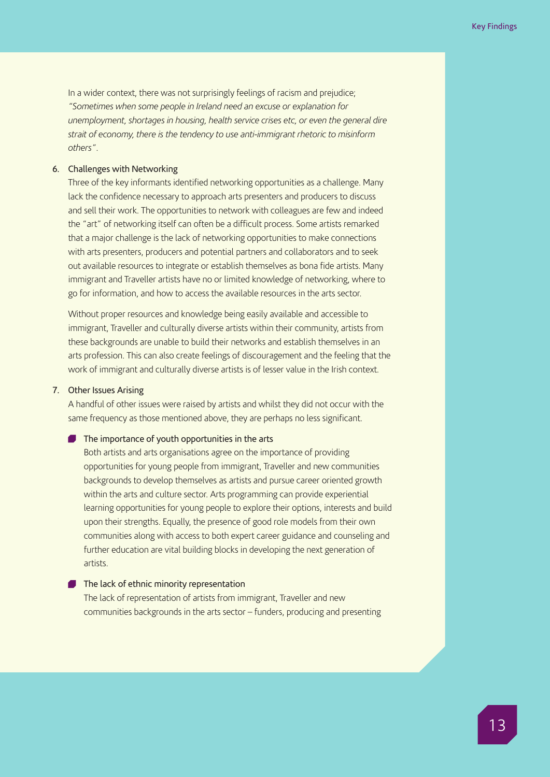In a wider context, there was not surprisingly feelings of racism and prejudice; *"Sometimes when some people in Ireland need an excuse or explanation for unemployment, shortages in housing, health service crises etc, or even the general dire strait of economy, there is the tendency to use anti-immigrant rhetoric to misinform others"*.

## 6. Challenges with Networking

Three of the key informants identified networking opportunities as a challenge. Many lack the confidence necessary to approach arts presenters and producers to discuss and sell their work. The opportunities to network with colleagues are few and indeed the "art" of networking itself can often be a difficult process. Some artists remarked that a major challenge is the lack of networking opportunities to make connections with arts presenters, producers and potential partners and collaborators and to seek out available resources to integrate or establish themselves as bona fide artists. Many immigrant and Traveller artists have no or limited knowledge of networking, where to go for information, and how to access the available resources in the arts sector.

Without proper resources and knowledge being easily available and accessible to immigrant, Traveller and culturally diverse artists within their community, artists from these backgrounds are unable to build their networks and establish themselves in an arts profession. This can also create feelings of discouragement and the feeling that the work of immigrant and culturally diverse artists is of lesser value in the Irish context.

## 7. Other Issues Arising

A handful of other issues were raised by artists and whilst they did not occur with the same frequency as those mentioned above, they are perhaps no less significant.

#### The importance of youth opportunities in the arts

Both artists and arts organisations agree on the importance of providing opportunities for young people from immigrant, Traveller and new communities backgrounds to develop themselves as artists and pursue career oriented growth within the arts and culture sector. Arts programming can provide experiential learning opportunities for young people to explore their options, interests and build upon their strengths. Equally, the presence of good role models from their own communities along with access to both expert career guidance and counseling and further education are vital building blocks in developing the next generation of artists.

## The lack of ethnic minority representation

The lack of representation of artists from immigrant, Traveller and new communities backgrounds in the arts sector – funders, producing and presenting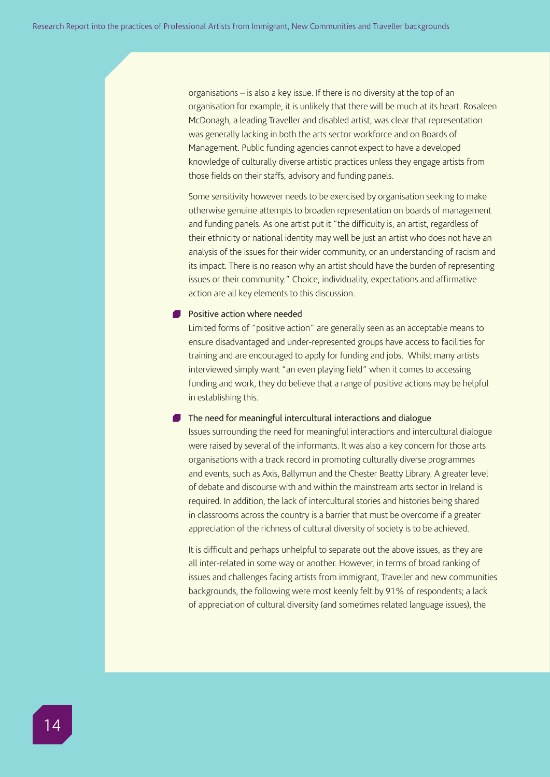organisations – is also a key issue. If there is no diversity at the top of an organisation for example, it is unlikely that there will be much at its heart. Rosaleen McDonagh, a leading Traveller and disabled artist, was clear that representation was generally lacking in both the arts sector workforce and on Boards of Management. Public funding agencies cannot expect to have a developed knowledge of culturally diverse artistic practices unless they engage artists from those fields on their staffs, advisory and funding panels.

Some sensitivity however needs to be exercised by organisation seeking to make otherwise genuine attempts to broaden representation on boards of management and funding panels. As one artist put it "the difficulty is, an artist, regardless of their ethnicity or national identity may well be just an artist who does not have an analysis of the issues for their wider community, or an understanding of racism and its impact. There is no reason why an artist should have the burden of representing issues or their community." Choice, individuality, expectations and affirmative action are all key elements to this discussion.

### **Positive action where needed**

Limited forms of "positive action" are generally seen as an acceptable means to ensure disadvantaged and under-represented groups have access to facilities for training and are encouraged to apply for funding and jobs. Whilst many artists interviewed simply want "an even playing field" when it comes to accessing funding and work, they do believe that a range of positive actions may be helpful in establishing this.

## The need for meaningful intercultural interactions and dialogue

Issues surrounding the need for meaningful interactions and intercultural dialogue were raised by several of the informants. It was also a key concern for those arts organisations with a track record in promoting culturally diverse programmes and events, such as Axis, Ballymun and the Chester Beatty Library. A greater level of debate and discourse with and within the mainstream arts sector in Ireland is required. In addition, the lack of intercultural stories and histories being shared in classrooms across the country is a barrier that must be overcome if a greater appreciation of the richness of cultural diversity of society is to be achieved.

It is difficult and perhaps unhelpful to separate out the above issues, as they are all inter-related in some way or another. However, in terms of broad ranking of issues and challenges facing artists from immigrant, Traveller and new communities backgrounds, the following were most keenly felt by 91% of respondents; a lack of appreciation of cultural diversity (and sometimes related language issues), the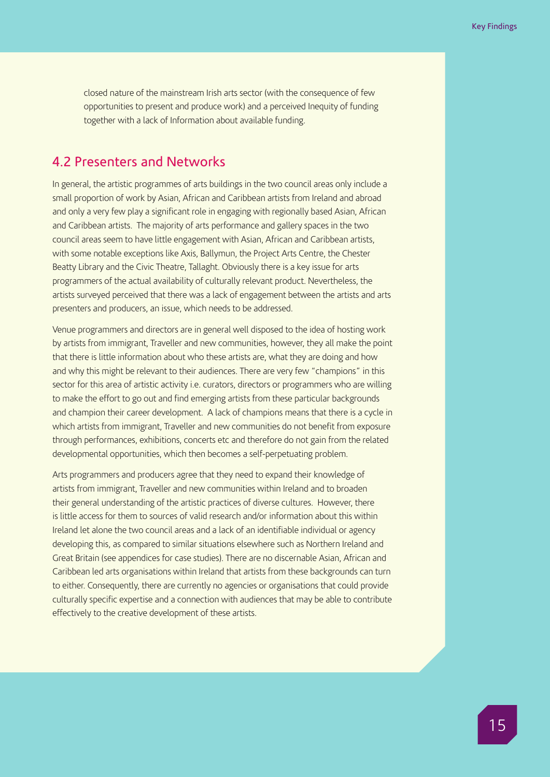closed nature of the mainstream Irish arts sector (with the consequence of few opportunities to present and produce work) and a perceived Inequity of funding together with a lack of Information about available funding.

## 4.2 Presenters and Networks

In general, the artistic programmes of arts buildings in the two council areas only include a small proportion of work by Asian, African and Caribbean artists from Ireland and abroad and only a very few play a significant role in engaging with regionally based Asian, African and Caribbean artists. The majority of arts performance and gallery spaces in the two council areas seem to have little engagement with Asian, African and Caribbean artists, with some notable exceptions like Axis, Ballymun, the Project Arts Centre, the Chester Beatty Library and the Civic Theatre, Tallaght. Obviously there is a key issue for arts programmers of the actual availability of culturally relevant product. Nevertheless, the artists surveyed perceived that there was a lack of engagement between the artists and arts presenters and producers, an issue, which needs to be addressed.

Venue programmers and directors are in general well disposed to the idea of hosting work by artists from immigrant, Traveller and new communities, however, they all make the point that there is little information about who these artists are, what they are doing and how and why this might be relevant to their audiences. There are very few "champions" in this sector for this area of artistic activity i.e. curators, directors or programmers who are willing to make the effort to go out and find emerging artists from these particular backgrounds and champion their career development. A lack of champions means that there is a cycle in which artists from immigrant, Traveller and new communities do not benefit from exposure through performances, exhibitions, concerts etc and therefore do not gain from the related developmental opportunities, which then becomes a self-perpetuating problem.

Arts programmers and producers agree that they need to expand their knowledge of artists from immigrant, Traveller and new communities within Ireland and to broaden their general understanding of the artistic practices of diverse cultures. However, there is little access for them to sources of valid research and/or information about this within Ireland let alone the two council areas and a lack of an identifiable individual or agency developing this, as compared to similar situations elsewhere such as Northern Ireland and Great Britain (see appendices for case studies). There are no discernable Asian, African and Caribbean led arts organisations within Ireland that artists from these backgrounds can turn to either. Consequently, there are currently no agencies or organisations that could provide culturally specific expertise and a connection with audiences that may be able to contribute effectively to the creative development of these artists.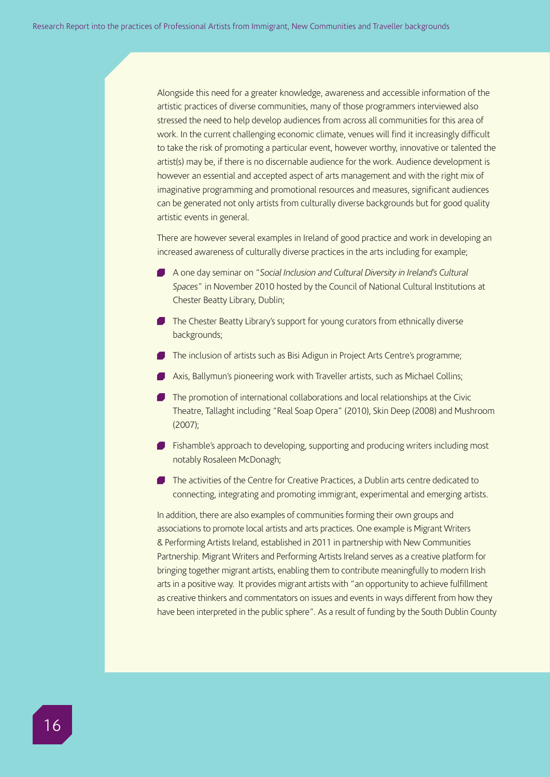Alongside this need for a greater knowledge, awareness and accessible information of the artistic practices of diverse communities, many of those programmers interviewed also stressed the need to help develop audiences from across all communities for this area of work. In the current challenging economic climate, venues will find it increasingly difficult to take the risk of promoting a particular event, however worthy, innovative or talented the artist(s) may be, if there is no discernable audience for the work. Audience development is however an essential and accepted aspect of arts management and with the right mix of imaginative programming and promotional resources and measures, significant audiences can be generated not only artists from culturally diverse backgrounds but for good quality artistic events in general.

There are however several examples in Ireland of good practice and work in developing an increased awareness of culturally diverse practices in the arts including for example;

- A one day seminar on "*Social Inclusion and Cultural Diversity in Ireland's Cultural Spaces*" in November 2010 hosted by the Council of National Cultural Institutions at Chester Beatty Library, Dublin;
- The Chester Beatty Library's support for young curators from ethnically diverse backgrounds;
- The inclusion of artists such as Bisi Adigun in Project Arts Centre's programme;
- Axis, Ballymun's pioneering work with Traveller artists, such as Michael Collins;
- The promotion of international collaborations and local relationships at the Civic Theatre, Tallaght including "Real Soap Opera" (2010), Skin Deep (2008) and Mushroom (2007);
- **Fishamble's approach to developing, supporting and producing writers including most** notably Rosaleen McDonagh;
- The activities of the Centre for Creative Practices, a Dublin arts centre dedicated to connecting, integrating and promoting immigrant, experimental and emerging artists.

In addition, there are also examples of communities forming their own groups and associations to promote local artists and arts practices. One example is Migrant Writers & Performing Artists Ireland, established in 2011 in partnership with New Communities Partnership. Migrant Writers and Performing Artists Ireland serves as a creative platform for bringing together migrant artists, enabling them to contribute meaningfully to modern Irish arts in a positive way. It provides migrant artists with "an opportunity to achieve fulfillment as creative thinkers and commentators on issues and events in ways different from how they have been interpreted in the public sphere". As a result of funding by the South Dublin County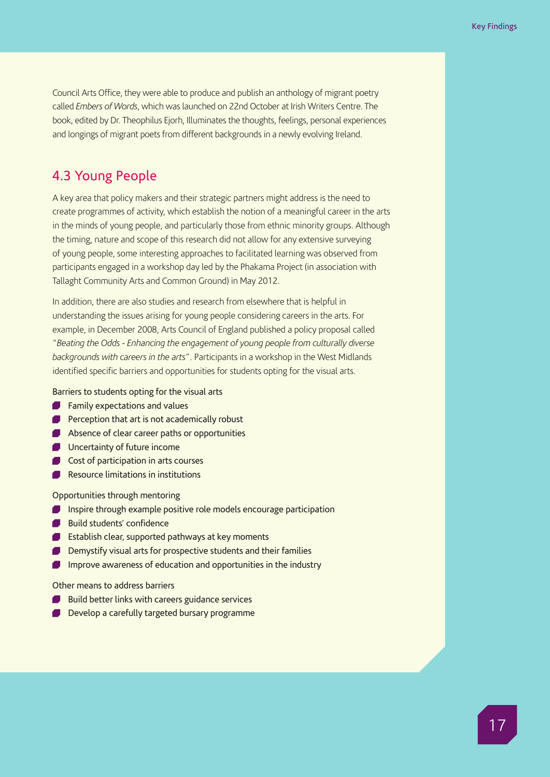Council Arts Office, they were able to produce and publish an anthology of migrant poetry called *Embers of Words*, which was launched on 22nd October at Irish Writers Centre. The book, edited by Dr. Theophilus Ejorh, Illuminates the thoughts, feelings, personal experiences and longings of migrant poets from different backgrounds in a newly evolving Ireland.

## 4.3 Young People

A key area that policy makers and their strategic partners might address is the need to create programmes of activity, which establish the notion of a meaningful career in the arts in the minds of young people, and particularly those from ethnic minority groups. Although the timing, nature and scope of this research did not allow for any extensive surveying of young people, some interesting approaches to facilitated learning was observed from participants engaged in a workshop day led by the Phakama Project (in association with Tallaght Community Arts and Common Ground) in May 2012.

In addition, there are also studies and research from elsewhere that is helpful in understanding the issues arising for young people considering careers in the arts. For example, in December 2008, Arts Council of England published a policy proposal called "*Beating the Odds - Enhancing the engagement of young people from culturally diverse backgrounds with careers in the arts*". Participants in a workshop in the West Midlands identified specific barriers and opportunities for students opting for the visual arts.

Barriers to students opting for the visual arts

- **Family expectations and values**
- **Perception that art is not academically robust**
- Absence of clear career paths or opportunities
- **Uncertainty of future income**
- Cost of participation in arts courses
- **Resource limitations in institutions**

Opportunities through mentoring

- **Inspire through example positive role models encourage participation**
- Build students' confidence
- **Establish clear, supported pathways at key moments**
- Demystify visual arts for prospective students and their families
- Improve awareness of education and opportunities in the industry  $\blacksquare$

## Other means to address barriers

- Build better links with careers guidance services
- Develop a carefully targeted bursary programme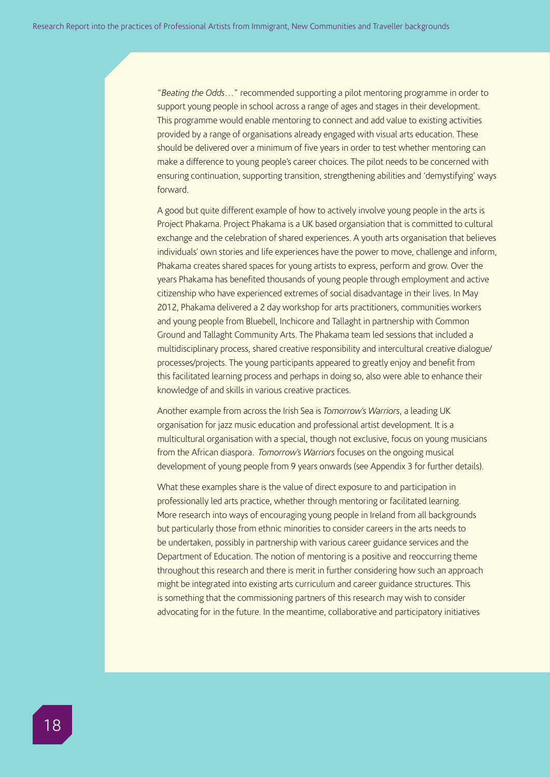"*Beating the Odds…*" recommended supporting a pilot mentoring programme in order to support young people in school across a range of ages and stages in their development. This programme would enable mentoring to connect and add value to existing activities provided by a range of organisations already engaged with visual arts education. These should be delivered over a minimum of five years in order to test whether mentoring can make a difference to young people's career choices. The pilot needs to be concerned with ensuring continuation, supporting transition, strengthening abilities and 'demystifying' ways forward.

A good but quite different example of how to actively involve young people in the arts is Project Phakama. Project Phakama is a UK based organsiation that is committed to cultural exchange and the celebration of shared experiences. A youth arts organisation that believes individuals' own stories and life experiences have the power to move, challenge and inform, Phakama creates shared spaces for young artists to express, perform and grow. Over the years Phakama has benefited thousands of young people through employment and active citizenship who have experienced extremes of social disadvantage in their lives. In May 2012, Phakama delivered a 2 day workshop for arts practitioners, communities workers and young people from Bluebell, Inchicore and Tallaght in partnership with Common Ground and Tallaght Community Arts. The Phakama team led sessions that included a multidisciplinary process, shared creative responsibility and intercultural creative dialogue/ processes/projects. The young participants appeared to greatly enjoy and benefit from this facilitated learning process and perhaps in doing so, also were able to enhance their knowledge of and skills in various creative practices.

Another example from across the Irish Sea is *Tomorrow's Warriors*, a leading UK organisation for jazz music education and professional artist development. It is a multicultural organisation with a special, though not exclusive, focus on young musicians from the African diaspora. *Tomorrow's Warriors* focuses on the ongoing musical development of young people from 9 years onwards (see Appendix 3 for further details).

What these examples share is the value of direct exposure to and participation in professionally led arts practice, whether through mentoring or facilitated learning. More research into ways of encouraging young people in Ireland from all backgrounds but particularly those from ethnic minorities to consider careers in the arts needs to be undertaken, possibly in partnership with various career guidance services and the Department of Education. The notion of mentoring is a positive and reoccurring theme throughout this research and there is merit in further considering how such an approach might be integrated into existing arts curriculum and career guidance structures. This is something that the commissioning partners of this research may wish to consider advocating for in the future. In the meantime, collaborative and participatory initiatives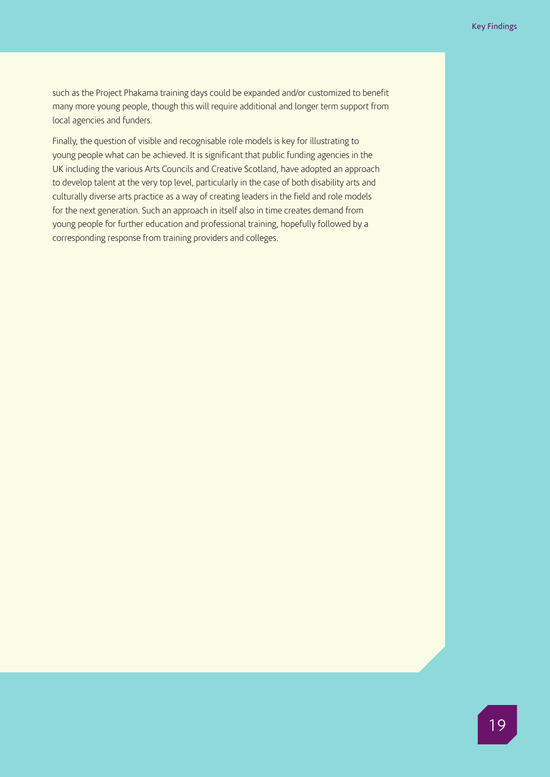such as the Project Phakama training days could be expanded and/or customized to benefit many more young people, though this will require additional and longer term support from local agencies and funders.

Finally, the question of visible and recognisable role models is key for illustrating to young people what can be achieved. It is significant that public funding agencies in the UK including the various Arts Councils and Creative Scotland, have adopted an approach to develop talent at the very top level, particularly in the case of both disability arts and culturally diverse arts practice as a way of creating leaders in the field and role models for the next generation. Such an approach in itself also in time creates demand from young people for further education and professional training, hopefully followed by a corresponding response from training providers and colleges.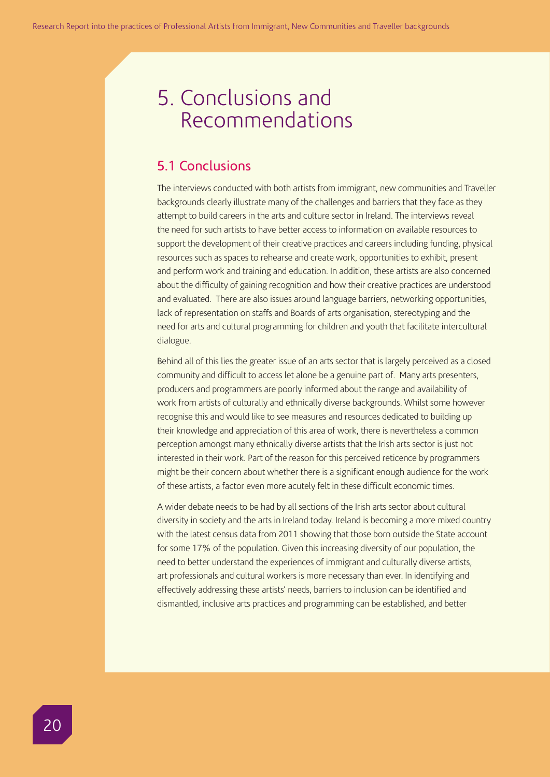## 5. Conclusions and Recommendations

## 5.1 Conclusions

The interviews conducted with both artists from immigrant, new communities and Traveller backgrounds clearly illustrate many of the challenges and barriers that they face as they attempt to build careers in the arts and culture sector in Ireland. The interviews reveal the need for such artists to have better access to information on available resources to support the development of their creative practices and careers including funding, physical resources such as spaces to rehearse and create work, opportunities to exhibit, present and perform work and training and education. In addition, these artists are also concerned about the difficulty of gaining recognition and how their creative practices are understood and evaluated. There are also issues around language barriers, networking opportunities, lack of representation on staffs and Boards of arts organisation, stereotyping and the need for arts and cultural programming for children and youth that facilitate intercultural dialogue.

Behind all of this lies the greater issue of an arts sector that is largely perceived as a closed community and difficult to access let alone be a genuine part of. Many arts presenters, producers and programmers are poorly informed about the range and availability of work from artists of culturally and ethnically diverse backgrounds. Whilst some however recognise this and would like to see measures and resources dedicated to building up their knowledge and appreciation of this area of work, there is nevertheless a common perception amongst many ethnically diverse artists that the Irish arts sector is just not interested in their work. Part of the reason for this perceived reticence by programmers might be their concern about whether there is a significant enough audience for the work of these artists, a factor even more acutely felt in these difficult economic times.

A wider debate needs to be had by all sections of the Irish arts sector about cultural diversity in society and the arts in Ireland today. Ireland is becoming a more mixed country with the latest census data from 2011 showing that those born outside the State account for some 17% of the population. Given this increasing diversity of our population, the need to better understand the experiences of immigrant and culturally diverse artists, art professionals and cultural workers is more necessary than ever. In identifying and effectively addressing these artists' needs, barriers to inclusion can be identified and dismantled, inclusive arts practices and programming can be established, and better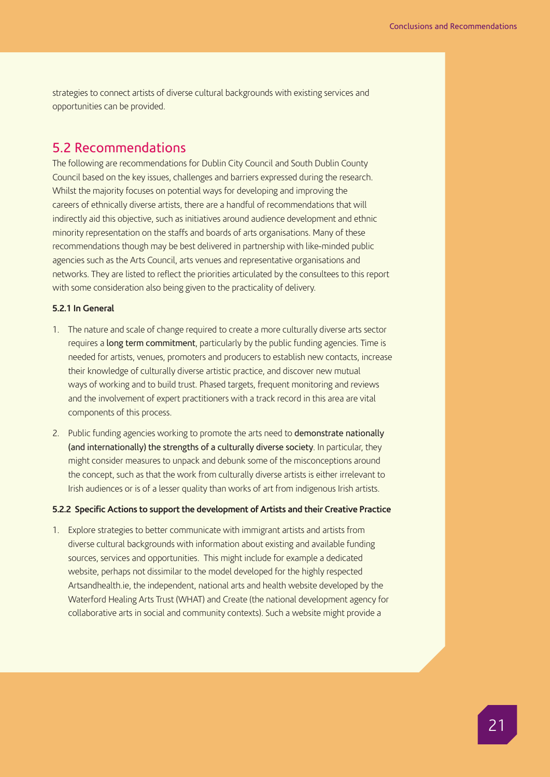strategies to connect artists of diverse cultural backgrounds with existing services and opportunities can be provided.

## 5.2 Recommendations

The following are recommendations for Dublin City Council and South Dublin County Council based on the key issues, challenges and barriers expressed during the research. Whilst the majority focuses on potential ways for developing and improving the careers of ethnically diverse artists, there are a handful of recommendations that will indirectly aid this objective, such as initiatives around audience development and ethnic minority representation on the staffs and boards of arts organisations. Many of these recommendations though may be best delivered in partnership with like-minded public agencies such as the Arts Council, arts venues and representative organisations and networks. They are listed to reflect the priorities articulated by the consultees to this report with some consideration also being given to the practicality of delivery.

## **5.2.1 In General**

- 1. The nature and scale of change required to create a more culturally diverse arts sector requires a long term commitment, particularly by the public funding agencies. Time is needed for artists, venues, promoters and producers to establish new contacts, increase their knowledge of culturally diverse artistic practice, and discover new mutual ways of working and to build trust. Phased targets, frequent monitoring and reviews and the involvement of expert practitioners with a track record in this area are vital components of this process.
- 2. Public funding agencies working to promote the arts need to demonstrate nationally (and internationally) the strengths of a culturally diverse society. In particular, they might consider measures to unpack and debunk some of the misconceptions around the concept, such as that the work from culturally diverse artists is either irrelevant to Irish audiences or is of a lesser quality than works of art from indigenous Irish artists.

## **5.2.2 Specific Actions to support the development of Artists and their Creative Practice**

1. Explore strategies to better communicate with immigrant artists and artists from diverse cultural backgrounds with information about existing and available funding sources, services and opportunities. This might include for example a dedicated website, perhaps not dissimilar to the model developed for the highly respected Artsandhealth.ie, the independent, national arts and health website developed by the Waterford Healing Arts Trust (WHAT) and Create (the national development agency for collaborative arts in social and community contexts). Such a website might provide a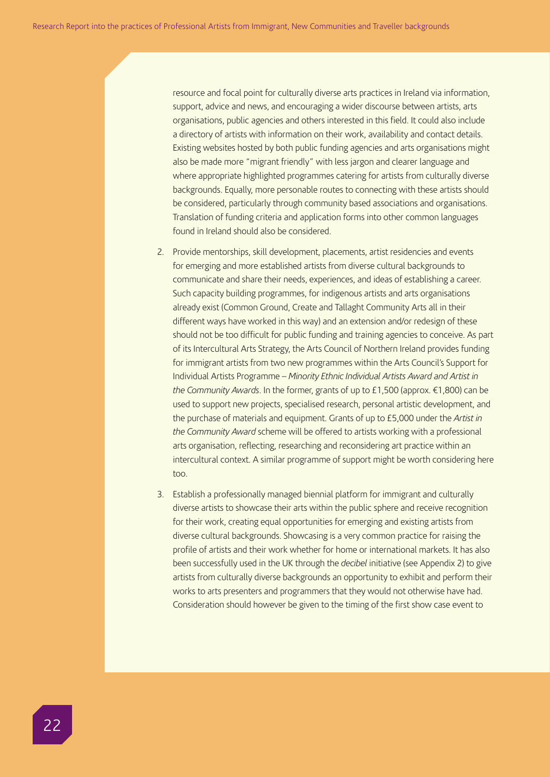resource and focal point for culturally diverse arts practices in Ireland via information, support, advice and news, and encouraging a wider discourse between artists, arts organisations, public agencies and others interested in this field. It could also include a directory of artists with information on their work, availability and contact details. Existing websites hosted by both public funding agencies and arts organisations might also be made more "migrant friendly" with less jargon and clearer language and where appropriate highlighted programmes catering for artists from culturally diverse backgrounds. Equally, more personable routes to connecting with these artists should be considered, particularly through community based associations and organisations. Translation of funding criteria and application forms into other common languages found in Ireland should also be considered.

- 2. Provide mentorships, skill development, placements, artist residencies and events for emerging and more established artists from diverse cultural backgrounds to communicate and share their needs, experiences, and ideas of establishing a career. Such capacity building programmes, for indigenous artists and arts organisations already exist (Common Ground, Create and Tallaght Community Arts all in their different ways have worked in this way) and an extension and/or redesign of these should not be too difficult for public funding and training agencies to conceive. As part of its Intercultural Arts Strategy, the Arts Council of Northern Ireland provides funding for immigrant artists from two new programmes within the Arts Council's Support for Individual Artists Programme – *Minority Ethnic Individual Artists Award and Artist in the Community Awards*. In the former, grants of up to £1,500 (approx. €1,800) can be used to support new projects, specialised research, personal artistic development, and the purchase of materials and equipment. Grants of up to £5,000 under the *Artist in the Community Award* scheme will be offered to artists working with a professional arts organisation, reflecting, researching and reconsidering art practice within an intercultural context. A similar programme of support might be worth considering here too.
- 3. Establish a professionally managed biennial platform for immigrant and culturally diverse artists to showcase their arts within the public sphere and receive recognition for their work, creating equal opportunities for emerging and existing artists from diverse cultural backgrounds. Showcasing is a very common practice for raising the profile of artists and their work whether for home or international markets. It has also been successfully used in the UK through the *decibel* initiative (see Appendix 2) to give artists from culturally diverse backgrounds an opportunity to exhibit and perform their works to arts presenters and programmers that they would not otherwise have had. Consideration should however be given to the timing of the first show case event to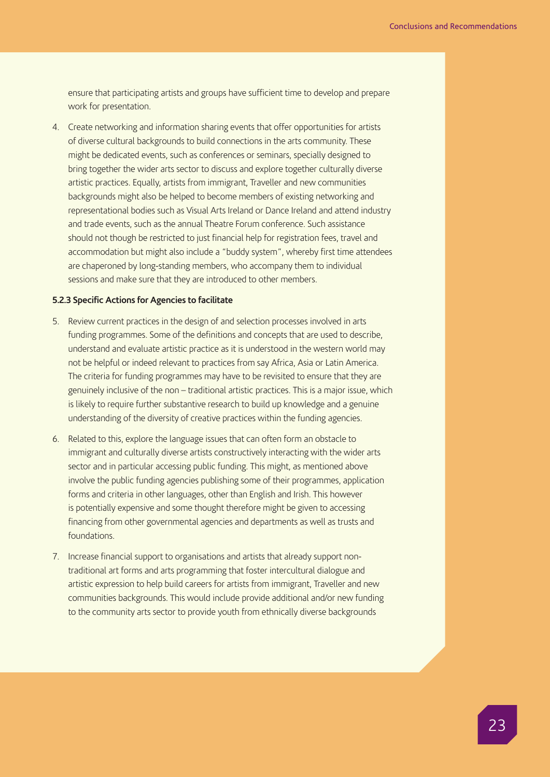ensure that participating artists and groups have sufficient time to develop and prepare work for presentation.

4. Create networking and information sharing events that offer opportunities for artists of diverse cultural backgrounds to build connections in the arts community. These might be dedicated events, such as conferences or seminars, specially designed to bring together the wider arts sector to discuss and explore together culturally diverse artistic practices. Equally, artists from immigrant, Traveller and new communities backgrounds might also be helped to become members of existing networking and representational bodies such as Visual Arts Ireland or Dance Ireland and attend industry and trade events, such as the annual Theatre Forum conference. Such assistance should not though be restricted to just financial help for registration fees, travel and accommodation but might also include a "buddy system", whereby first time attendees are chaperoned by long-standing members, who accompany them to individual sessions and make sure that they are introduced to other members.

### **5.2.3 Specific Actions for Agencies to facilitate**

- 5. Review current practices in the design of and selection processes involved in arts funding programmes. Some of the definitions and concepts that are used to describe, understand and evaluate artistic practice as it is understood in the western world may not be helpful or indeed relevant to practices from say Africa, Asia or Latin America. The criteria for funding programmes may have to be revisited to ensure that they are genuinely inclusive of the non – traditional artistic practices. This is a major issue, which is likely to require further substantive research to build up knowledge and a genuine understanding of the diversity of creative practices within the funding agencies.
- 6. Related to this, explore the language issues that can often form an obstacle to immigrant and culturally diverse artists constructively interacting with the wider arts sector and in particular accessing public funding. This might, as mentioned above involve the public funding agencies publishing some of their programmes, application forms and criteria in other languages, other than English and Irish. This however is potentially expensive and some thought therefore might be given to accessing financing from other governmental agencies and departments as well as trusts and foundations.
- 7. Increase financial support to organisations and artists that already support nontraditional art forms and arts programming that foster intercultural dialogue and artistic expression to help build careers for artists from immigrant, Traveller and new communities backgrounds. This would include provide additional and/or new funding to the community arts sector to provide youth from ethnically diverse backgrounds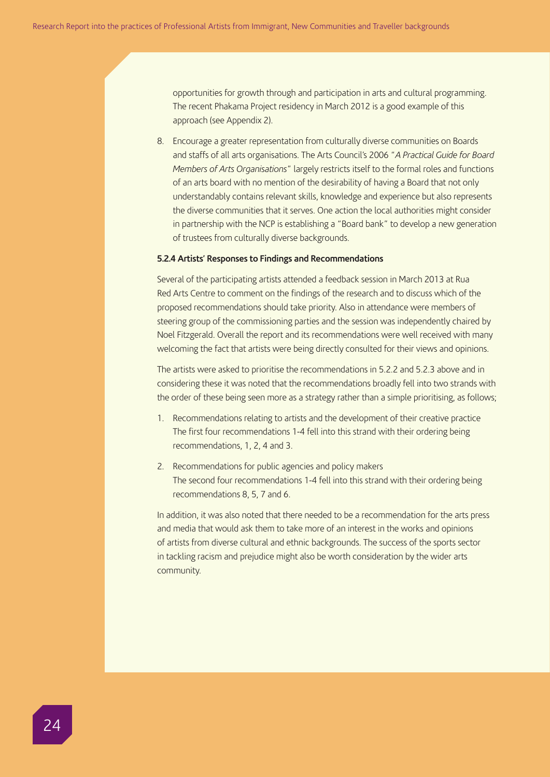opportunities for growth through and participation in arts and cultural programming. The recent Phakama Project residency in March 2012 is a good example of this approach (see Appendix 2).

8. Encourage a greater representation from culturally diverse communities on Boards and staffs of all arts organisations. The Arts Council's 2006 "*A Practical Guide for Board Members of Arts Organisations*" largely restricts itself to the formal roles and functions of an arts board with no mention of the desirability of having a Board that not only understandably contains relevant skills, knowledge and experience but also represents the diverse communities that it serves. One action the local authorities might consider in partnership with the NCP is establishing a "Board bank" to develop a new generation of trustees from culturally diverse backgrounds.

### **5.2.4 Artists' Responses to Findings and Recommendations**

Several of the participating artists attended a feedback session in March 2013 at Rua Red Arts Centre to comment on the findings of the research and to discuss which of the proposed recommendations should take priority. Also in attendance were members of steering group of the commissioning parties and the session was independently chaired by Noel Fitzgerald. Overall the report and its recommendations were well received with many welcoming the fact that artists were being directly consulted for their views and opinions.

The artists were asked to prioritise the recommendations in 5.2.2 and 5.2.3 above and in considering these it was noted that the recommendations broadly fell into two strands with the order of these being seen more as a strategy rather than a simple prioritising, as follows;

- 1. Recommendations relating to artists and the development of their creative practice The first four recommendations 1-4 fell into this strand with their ordering being recommendations, 1, 2, 4 and 3.
- 2. Recommendations for public agencies and policy makers The second four recommendations 1-4 fell into this strand with their ordering being recommendations 8, 5, 7 and 6.

In addition, it was also noted that there needed to be a recommendation for the arts press and media that would ask them to take more of an interest in the works and opinions of artists from diverse cultural and ethnic backgrounds. The success of the sports sector in tackling racism and prejudice might also be worth consideration by the wider arts community.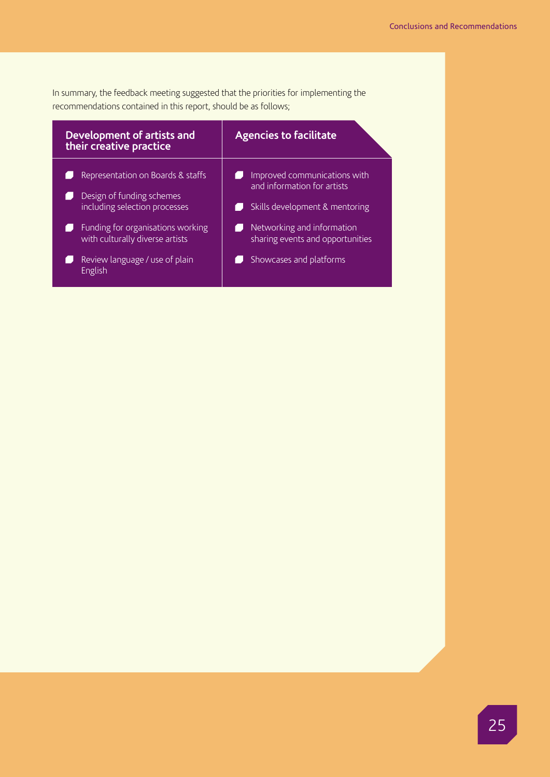In summary, the feedback meeting suggested that the priorities for implementing the recommendations contained in this report, should be as follows;

| Development of artists and<br>their creative practice                                                                                                                                                                | <b>Agencies to facilitate</b>                                                                                                                                                              |
|----------------------------------------------------------------------------------------------------------------------------------------------------------------------------------------------------------------------|--------------------------------------------------------------------------------------------------------------------------------------------------------------------------------------------|
| Representation on Boards & staffs<br>Design of funding schemes<br>including selection processes<br>Funding for organisations working<br>with culturally diverse artists<br>Review language / use of plain<br>English | Improved communications with<br>and information for artists<br>Skills development & mentoring<br>Networking and information<br>sharing events and opportunities<br>Showcases and platforms |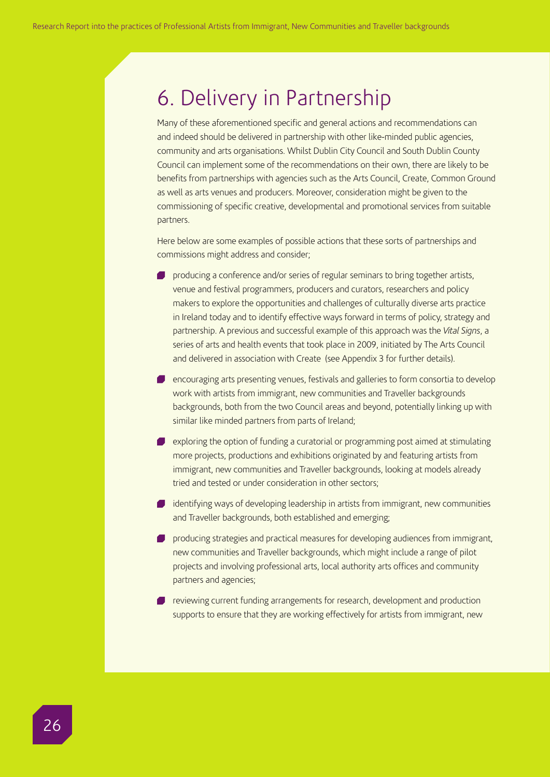## 6. Delivery in Partnership

Many of these aforementioned specific and general actions and recommendations can and indeed should be delivered in partnership with other like-minded public agencies, community and arts organisations. Whilst Dublin City Council and South Dublin County Council can implement some of the recommendations on their own, there are likely to be benefits from partnerships with agencies such as the Arts Council, Create, Common Ground as well as arts venues and producers. Moreover, consideration might be given to the commissioning of specific creative, developmental and promotional services from suitable partners.

Here below are some examples of possible actions that these sorts of partnerships and commissions might address and consider;

- producing a conference and/or series of regular seminars to bring together artists, venue and festival programmers, producers and curators, researchers and policy makers to explore the opportunities and challenges of culturally diverse arts practice in Ireland today and to identify effective ways forward in terms of policy, strategy and partnership. A previous and successful example of this approach was the *Vital Signs*, a series of arts and health events that took place in 2009, initiated by The Arts Council and delivered in association with Create (see Appendix 3 for further details).
- **P** encouraging arts presenting venues, festivals and galleries to form consortia to develop work with artists from immigrant, new communities and Traveller backgrounds backgrounds, both from the two Council areas and beyond, potentially linking up with similar like minded partners from parts of Ireland;
- $\blacksquare$  exploring the option of funding a curatorial or programming post aimed at stimulating more projects, productions and exhibitions originated by and featuring artists from immigrant, new communities and Traveller backgrounds, looking at models already tried and tested or under consideration in other sectors;
- **I** identifying ways of developing leadership in artists from immigrant, new communities and Traveller backgrounds, both established and emerging;
- **P** producing strategies and practical measures for developing audiences from immigrant, new communities and Traveller backgrounds, which might include a range of pilot projects and involving professional arts, local authority arts offices and community partners and agencies;
- **P** reviewing current funding arrangements for research, development and production supports to ensure that they are working effectively for artists from immigrant, new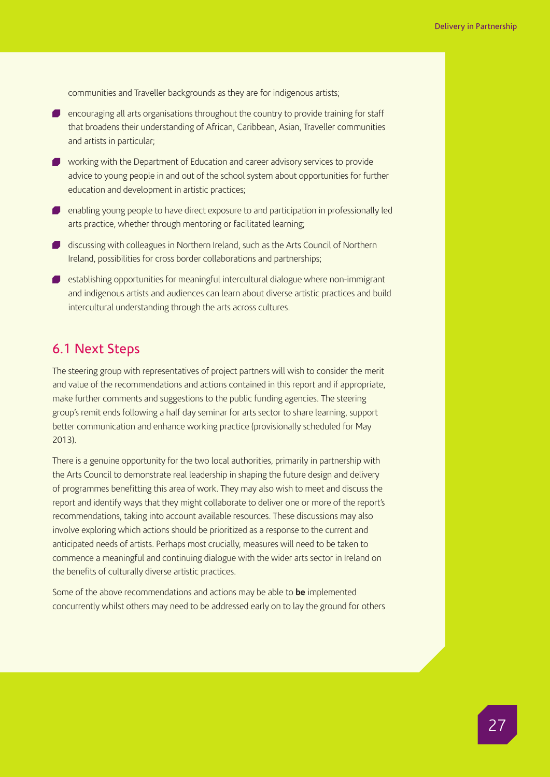communities and Traveller backgrounds as they are for indigenous artists;

- **EX** encouraging all arts organisations throughout the country to provide training for staff that broadens their understanding of African, Caribbean, Asian, Traveller communities and artists in particular;
- working with the Department of Education and career advisory services to provide advice to young people in and out of the school system about opportunities for further education and development in artistic practices;
- **P** enabling young people to have direct exposure to and participation in professionally led arts practice, whether through mentoring or facilitated learning;
- discussing with colleagues in Northern Ireland, such as the Arts Council of Northern Ireland, possibilities for cross border collaborations and partnerships;
- establishing opportunities for meaningful intercultural dialogue where non-immigrant and indigenous artists and audiences can learn about diverse artistic practices and build intercultural understanding through the arts across cultures.

## 6.1 Next Steps

The steering group with representatives of project partners will wish to consider the merit and value of the recommendations and actions contained in this report and if appropriate, make further comments and suggestions to the public funding agencies. The steering group's remit ends following a half day seminar for arts sector to share learning, support better communication and enhance working practice (provisionally scheduled for May 2013).

There is a genuine opportunity for the two local authorities, primarily in partnership with the Arts Council to demonstrate real leadership in shaping the future design and delivery of programmes benefitting this area of work. They may also wish to meet and discuss the report and identify ways that they might collaborate to deliver one or more of the report's recommendations, taking into account available resources. These discussions may also involve exploring which actions should be prioritized as a response to the current and anticipated needs of artists. Perhaps most crucially, measures will need to be taken to commence a meaningful and continuing dialogue with the wider arts sector in Ireland on the benefits of culturally diverse artistic practices.

Some of the above recommendations and actions may be able to **be** implemented concurrently whilst others may need to be addressed early on to lay the ground for others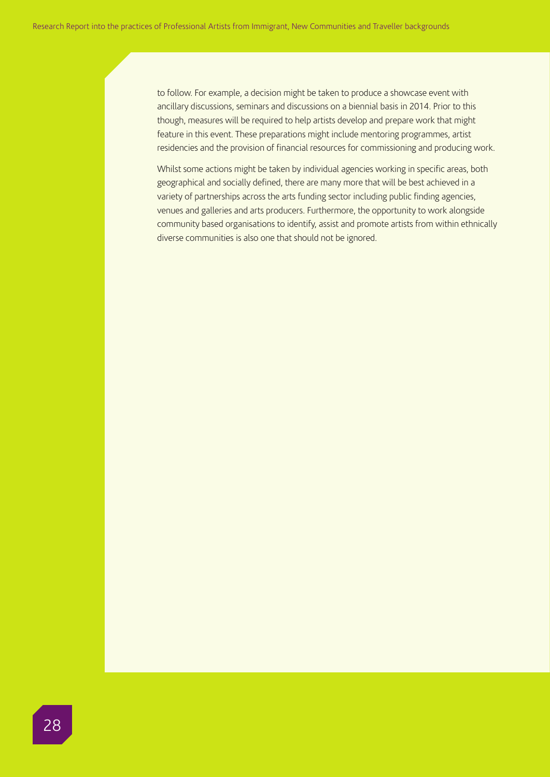to follow. For example, a decision might be taken to produce a showcase event with ancillary discussions, seminars and discussions on a biennial basis in 2014. Prior to this though, measures will be required to help artists develop and prepare work that might feature in this event. These preparations might include mentoring programmes, artist residencies and the provision of financial resources for commissioning and producing work.

Whilst some actions might be taken by individual agencies working in specific areas, both geographical and socially defined, there are many more that will be best achieved in a variety of partnerships across the arts funding sector including public finding agencies, venues and galleries and arts producers. Furthermore, the opportunity to work alongside community based organisations to identify, assist and promote artists from within ethnically diverse communities is also one that should not be ignored.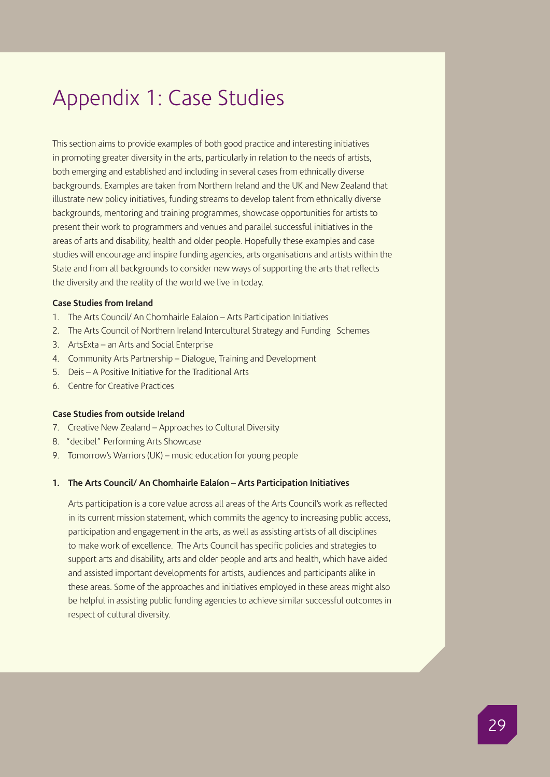## Appendix 1: Case Studies

This section aims to provide examples of both good practice and interesting initiatives in promoting greater diversity in the arts, particularly in relation to the needs of artists, both emerging and established and including in several cases from ethnically diverse backgrounds. Examples are taken from Northern Ireland and the UK and New Zealand that illustrate new policy initiatives, funding streams to develop talent from ethnically diverse backgrounds, mentoring and training programmes, showcase opportunities for artists to present their work to programmers and venues and parallel successful initiatives in the areas of arts and disability, health and older people. Hopefully these examples and case studies will encourage and inspire funding agencies, arts organisations and artists within the State and from all backgrounds to consider new ways of supporting the arts that reflects the diversity and the reality of the world we live in today.

## **Case Studies from Ireland**

- 1. The Arts Council/ An Chomhairle Ealaíon Arts Participation Initiatives
- 2. The Arts Council of Northern Ireland Intercultural Strategy and Funding Schemes
- 3. ArtsExta an Arts and Social Enterprise
- 4. Community Arts Partnership Dialogue, Training and Development
- 5. Deis A Positive Initiative for the Traditional Arts
- 6. Centre for Creative Practices

### **Case Studies from outside Ireland**

- 7. Creative New Zealand Approaches to Cultural Diversity
- 8. "decibel" Performing Arts Showcase
- 9. Tomorrow's Warriors (UK) music education for young people

#### **1. The Arts Council/ An Chomhairle Ealaíon – Arts Participation Initiatives**

Arts participation is a core value across all areas of the Arts Council's work as reflected in its current mission statement, which commits the agency to increasing public access, participation and engagement in the arts, as well as assisting artists of all disciplines to make work of excellence. The Arts Council has specific policies and strategies to support arts and disability, arts and older people and arts and health, which have aided and assisted important developments for artists, audiences and participants alike in these areas. Some of the approaches and initiatives employed in these areas might also be helpful in assisting public funding agencies to achieve similar successful outcomes in respect of cultural diversity.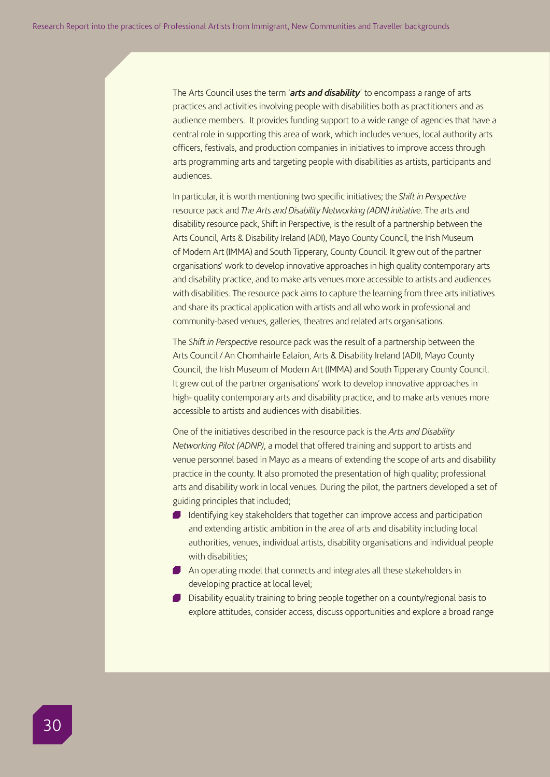The Arts Council uses the term '*arts and disability*' to encompass a range of arts practices and activities involving people with disabilities both as practitioners and as audience members. It provides funding support to a wide range of agencies that have a central role in supporting this area of work, which includes venues, local authority arts officers, festivals, and production companies in initiatives to improve access through arts programming arts and targeting people with disabilities as artists, participants and audiences.

In particular, it is worth mentioning two specific initiatives; the *Shift in Perspective* resource pack and *The Arts and Disability Networking (ADN) initiative*. The arts and disability resource pack, Shift in Perspective, is the result of a partnership between the Arts Council, Arts & Disability Ireland (ADI), Mayo County Council, the Irish Museum of Modern Art (IMMA) and South Tipperary, County Council. It grew out of the partner organisations' work to develop innovative approaches in high quality contemporary arts and disability practice, and to make arts venues more accessible to artists and audiences with disabilities. The resource pack aims to capture the learning from three arts initiatives and share its practical application with artists and all who work in professional and community-based venues, galleries, theatres and related arts organisations.

The *Shift in Perspective* resource pack was the result of a partnership between the Arts Council / An Chomhairle Ealaíon, Arts & Disability Ireland (ADI), Mayo County Council, the Irish Museum of Modern Art (IMMA) and South Tipperary County Council. It grew out of the partner organisations' work to develop innovative approaches in high- quality contemporary arts and disability practice, and to make arts venues more accessible to artists and audiences with disabilities.

One of the initiatives described in the resource pack is the *Arts and Disability Networking Pilot (ADNP)*, a model that offered training and support to artists and venue personnel based in Mayo as a means of extending the scope of arts and disability practice in the county. It also promoted the presentation of high quality; professional arts and disability work in local venues. During the pilot, the partners developed a set of guiding principles that included;

- I Identifying key stakeholders that together can improve access and participation and extending artistic ambition in the area of arts and disability including local authorities, venues, individual artists, disability organisations and individual people with disabilities;
- An operating model that connects and integrates all these stakeholders in developing practice at local level;
- **Disability equality training to bring people together on a county/regional basis to** explore attitudes, consider access, discuss opportunities and explore a broad range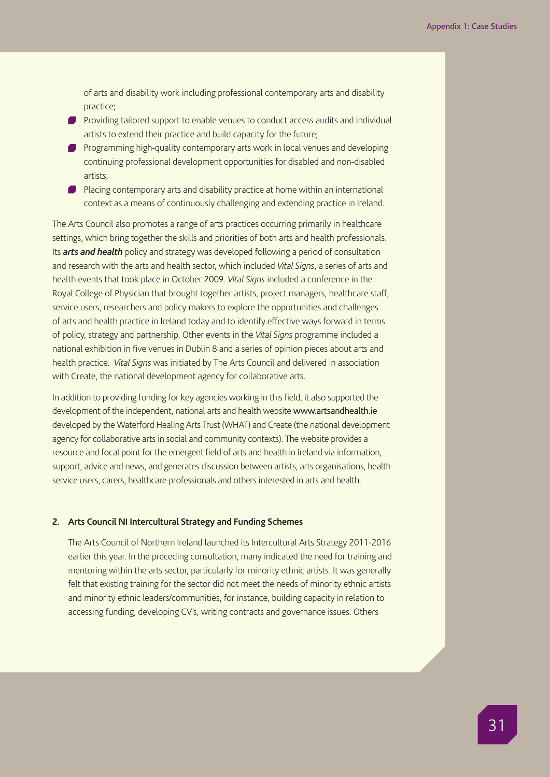of arts and disability work including professional contemporary arts and disability practice;

- Providing tailored support to enable venues to conduct access audits and individual artists to extend their practice and build capacity for the future;
- **Programming high-quality contemporary arts work in local venues and developing** continuing professional development opportunities for disabled and non-disabled artists;
- **Placing contemporary arts and disability practice at home within an international** context as a means of continuously challenging and extending practice in Ireland.

The Arts Council also promotes a range of arts practices occurring primarily in healthcare settings, which bring together the skills and priorities of both arts and health professionals. Its *arts and health* policy and strategy was developed following a period of consultation and research with the arts and health sector, which included *Vital Signs*, a series of arts and health events that took place in October 2009. *Vital Signs* included a conference in the Royal College of Physician that brought together artists, project managers, healthcare staff, service users, researchers and policy makers to explore the opportunities and challenges of arts and health practice in Ireland today and to identify effective ways forward in terms of policy, strategy and partnership. Other events in the *Vital Signs* programme included a national exhibition in five venues in Dublin 8 and a series of opinion pieces about arts and health practice. *Vital Signs* was initiated by The Arts Council and delivered in association with Create, the national development agency for collaborative arts.

In addition to providing funding for key agencies working in this field, it also supported the development of the independent, national arts and health website www.artsandhealth.ie developed by the Waterford Healing Arts Trust (WHAT) and Create (the national development agency for collaborative arts in social and community contexts). The website provides a resource and focal point for the emergent field of arts and health in Ireland via information, support, advice and news, and generates discussion between artists, arts organisations, health service users, carers, healthcare professionals and others interested in arts and health.

## **2. Arts Council NI Intercultural Strategy and Funding Schemes**

The Arts Council of Northern Ireland launched its Intercultural Arts Strategy 2011-2016 earlier this year. In the preceding consultation, many indicated the need for training and mentoring within the arts sector, particularly for minority ethnic artists. It was generally felt that existing training for the sector did not meet the needs of minority ethnic artists and minority ethnic leaders/communities, for instance, building capacity in relation to accessing funding, developing CV's, writing contracts and governance issues. Others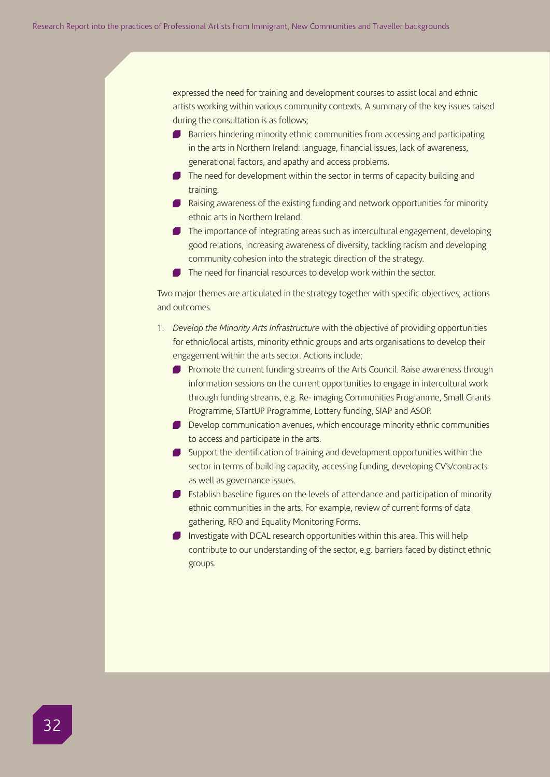expressed the need for training and development courses to assist local and ethnic artists working within various community contexts. A summary of the key issues raised during the consultation is as follows;

- Barriers hindering minority ethnic communities from accessing and participating in the arts in Northern Ireland: language, financial issues, lack of awareness, generational factors, and apathy and access problems.
- The need for development within the sector in terms of capacity building and training.
- **P** Raising awareness of the existing funding and network opportunities for minority ethnic arts in Northern Ireland.
- The importance of integrating areas such as intercultural engagement, developing good relations, increasing awareness of diversity, tackling racism and developing community cohesion into the strategic direction of the strategy.
- The need for financial resources to develop work within the sector.

Two major themes are articulated in the strategy together with specific objectives, actions and outcomes.

- 1. *Develop the Minority Arts Infrastructure* with the objective of providing opportunities for ethnic/local artists, minority ethnic groups and arts organisations to develop their engagement within the arts sector. Actions include;
	- **Promote the current funding streams of the Arts Council. Raise awareness through** information sessions on the current opportunities to engage in intercultural work through funding streams, e.g. Re- imaging Communities Programme, Small Grants Programme, STartUP Programme, Lottery funding, SIAP and ASOP.
	- Develop communication avenues, which encourage minority ethnic communities to access and participate in the arts.
	- Support the identification of training and development opportunities within the sector in terms of building capacity, accessing funding, developing CV's/contracts as well as governance issues.
	- **Establish baseline figures on the levels of attendance and participation of minority** ethnic communities in the arts. For example, review of current forms of data gathering, RFO and Equality Monitoring Forms.
	- Investigate with DCAL research opportunities within this area. This will help contribute to our understanding of the sector, e.g. barriers faced by distinct ethnic groups.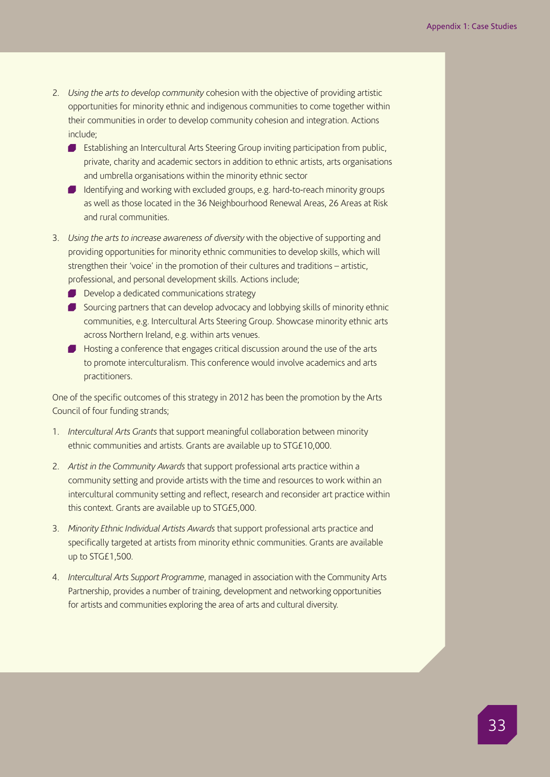- 2. *Using the arts to develop community* cohesion with the objective of providing artistic opportunities for minority ethnic and indigenous communities to come together within their communities in order to develop community cohesion and integration. Actions include;
	- **Establishing an Intercultural Arts Steering Group inviting participation from public,** private, charity and academic sectors in addition to ethnic artists, arts organisations and umbrella organisations within the minority ethnic sector
	- I Identifying and working with excluded groups, e.g. hard-to-reach minority groups as well as those located in the 36 Neighbourhood Renewal Areas, 26 Areas at Risk and rural communities.
- 3. *Using the arts to increase awareness of diversity* with the objective of supporting and providing opportunities for minority ethnic communities to develop skills, which will strengthen their 'voice' in the promotion of their cultures and traditions – artistic, professional, and personal development skills. Actions include;
	- Develop a dedicated communications strategy
	- Sourcing partners that can develop advocacy and lobbying skills of minority ethnic communities, e.g. Intercultural Arts Steering Group. Showcase minority ethnic arts across Northern Ireland, e.g. within arts venues.
	- Hosting a conference that engages critical discussion around the use of the arts to promote interculturalism. This conference would involve academics and arts practitioners.

One of the specific outcomes of this strategy in 2012 has been the promotion by the Arts Council of four funding strands;

- 1. *Intercultural Arts Grants* that support meaningful collaboration between minority ethnic communities and artists. Grants are available up to STG£10,000.
- 2. *Artist in the Community Awards* that support professional arts practice within a community setting and provide artists with the time and resources to work within an intercultural community setting and reflect, research and reconsider art practice within this context. Grants are available up to STG£5,000.
- 3. *Minority Ethnic Individual Artists Awards* that support professional arts practice and specifically targeted at artists from minority ethnic communities. Grants are available up to STG£1,500.
- 4. *Intercultural Arts Support Programme*, managed in association with the Community Arts Partnership, provides a number of training, development and networking opportunities for artists and communities exploring the area of arts and cultural diversity.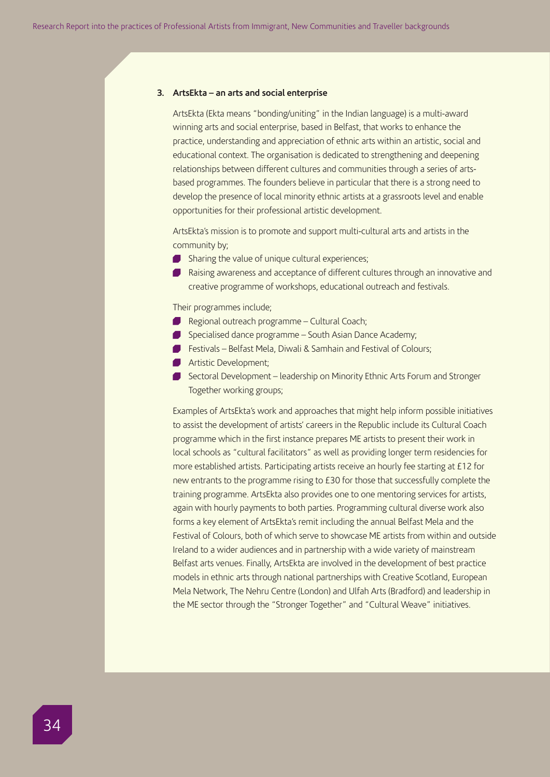#### **3. ArtsEkta – an arts and social enterprise**

ArtsEkta (Ekta means "bonding/uniting" in the Indian language) is a multi-award winning arts and social enterprise, based in Belfast, that works to enhance the practice, understanding and appreciation of ethnic arts within an artistic, social and educational context. The organisation is dedicated to strengthening and deepening relationships between different cultures and communities through a series of artsbased programmes. The founders believe in particular that there is a strong need to develop the presence of local minority ethnic artists at a grassroots level and enable opportunities for their professional artistic development.

ArtsEkta's mission is to promote and support multi-cultural arts and artists in the community by;

- Sharing the value of unique cultural experiences;
- **Raising awareness and acceptance of different cultures through an innovative and** creative programme of workshops, educational outreach and festivals.

Their programmes include;

- Regional outreach programme Cultural Coach;
- Specialised dance programme South Asian Dance Academy;
- Festivals Belfast Mela, Diwali & Samhain and Festival of Colours;
- **Artistic Development;**
- Sectoral Development leadership on Minority Ethnic Arts Forum and Stronger Together working groups;

Examples of ArtsEkta's work and approaches that might help inform possible initiatives to assist the development of artists' careers in the Republic include its Cultural Coach programme which in the first instance prepares ME artists to present their work in local schools as "cultural facilitators" as well as providing longer term residencies for more established artists. Participating artists receive an hourly fee starting at £12 for new entrants to the programme rising to £30 for those that successfully complete the training programme. ArtsEkta also provides one to one mentoring services for artists, again with hourly payments to both parties. Programming cultural diverse work also forms a key element of ArtsEkta's remit including the annual Belfast Mela and the Festival of Colours, both of which serve to showcase ME artists from within and outside Ireland to a wider audiences and in partnership with a wide variety of mainstream Belfast arts venues. Finally, ArtsEkta are involved in the development of best practice models in ethnic arts through national partnerships with Creative Scotland, European Mela Network, The Nehru Centre (London) and Ulfah Arts (Bradford) and leadership in the ME sector through the "Stronger Together" and "Cultural Weave" initiatives.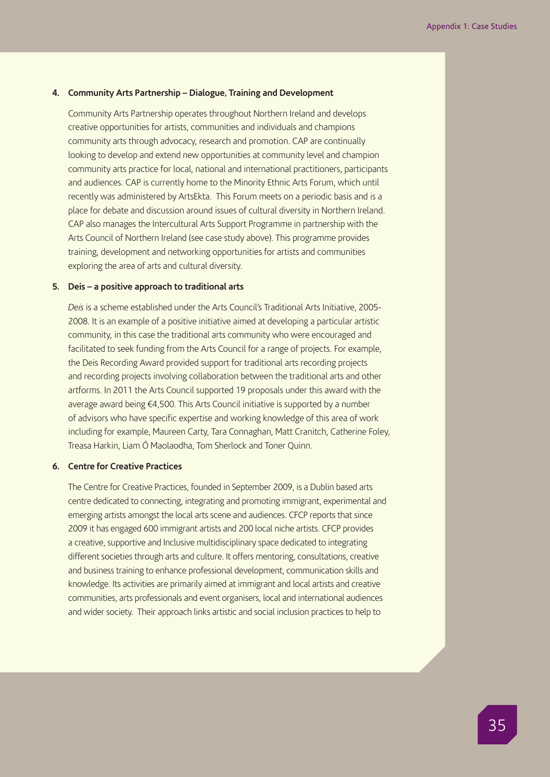## **4. Community Arts Partnership – Dialogue, Training and Development**

Community Arts Partnership operates throughout Northern Ireland and develops creative opportunities for artists, communities and individuals and champions community arts through advocacy, research and promotion. CAP are continually looking to develop and extend new opportunities at community level and champion community arts practice for local, national and international practitioners, participants and audiences. CAP is currently home to the Minority Ethnic Arts Forum, which until recently was administered by ArtsEkta. This Forum meets on a periodic basis and is a place for debate and discussion around issues of cultural diversity in Northern Ireland. CAP also manages the Intercultural Arts Support Programme in partnership with the Arts Council of Northern Ireland (see case study above). This programme provides training, development and networking opportunities for artists and communities exploring the area of arts and cultural diversity.

## **5. Deis – a positive approach to traditional arts**

*Deis* is a scheme established under the Arts Council's Traditional Arts Initiative, 2005- 2008. It is an example of a positive initiative aimed at developing a particular artistic community, in this case the traditional arts community who were encouraged and facilitated to seek funding from the Arts Council for a range of projects. For example, the Deis Recording Award provided support for traditional arts recording projects and recording projects involving collaboration between the traditional arts and other artforms. In 2011 the Arts Council supported 19 proposals under this award with the average award being €4,500. This Arts Council initiative is supported by a number of advisors who have specific expertise and working knowledge of this area of work including for example, Maureen Carty, Tara Connaghan, Matt Cranitch, Catherine Foley, Treasa Harkin, Liam Ó Maolaodha, Tom Sherlock and Toner Quinn.

### **6. Centre for Creative Practices**

The Centre for Creative Practices, founded in September 2009, is a Dublin based arts centre dedicated to connecting, integrating and promoting immigrant, experimental and emerging artists amongst the local arts scene and audiences. CFCP reports that since 2009 it has engaged 600 immigrant artists and 200 local niche artists. CFCP provides a creative, supportive and Inclusive multidisciplinary space dedicated to integrating different societies through arts and culture. It offers mentoring, consultations, creative and business training to enhance professional development, communication skills and knowledge. Its activities are primarily aimed at immigrant and local artists and creative communities, arts professionals and event organisers, local and international audiences and wider society. Their approach links artistic and social inclusion practices to help to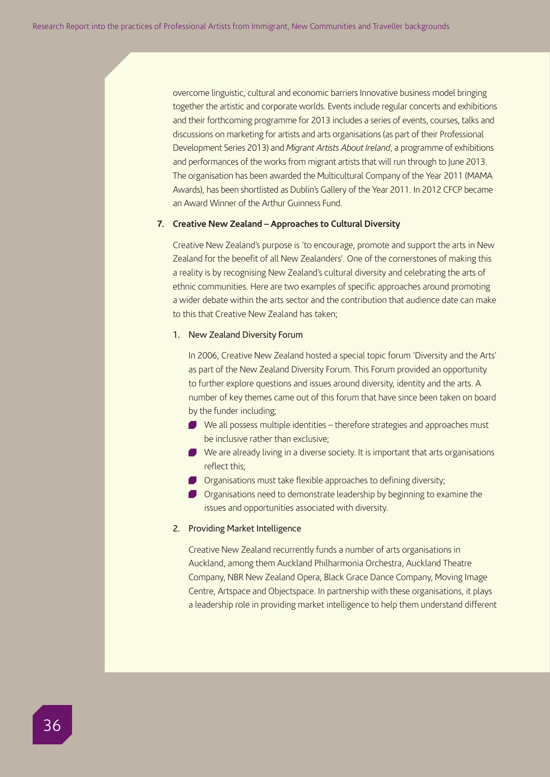overcome linguistic, cultural and economic barriers Innovative business model bringing together the artistic and corporate worlds. Events include regular concerts and exhibitions and their forthcoming programme for 2013 includes a series of events, courses, talks and discussions on marketing for artists and arts organisations (as part of their Professional Development Series 2013) and *Migrant Artists About Ireland*, a programme of exhibitions and performances of the works from migrant artists that will run through to June 2013. The organisation has been awarded the Multicultural Company of the Year 2011 (MAMA Awards), has been shortlisted as Dublin's Gallery of the Year 2011. In 2012 CFCP became an Award Winner of the Arthur Guinness Fund.

#### **7. Creative New Zealand – Approaches to Cultural Diversity**

Creative New Zealand's purpose is 'to encourage, promote and support the arts in New Zealand for the benefit of all New Zealanders'. One of the cornerstones of making this a reality is by recognising New Zealand's cultural diversity and celebrating the arts of ethnic communities. Here are two examples of specific approaches around promoting a wider debate within the arts sector and the contribution that audience date can make to this that Creative New Zealand has taken;

#### 1. New Zealand Diversity Forum

In 2006, Creative New Zealand hosted a special topic forum 'Diversity and the Arts' as part of the New Zealand Diversity Forum. This Forum provided an opportunity to further explore questions and issues around diversity, identity and the arts. A number of key themes came out of this forum that have since been taken on board by the funder including;

- We all possess multiple identities therefore strategies and approaches must be inclusive rather than exclusive;
- We are already living in a diverse society. It is important that arts organisations reflect this;
- Organisations must take flexible approaches to defining diversity;
- Organisations need to demonstrate leadership by beginning to examine the issues and opportunities associated with diversity.

#### 2. Providing Market Intelligence

Creative New Zealand recurrently funds a number of arts organisations in Auckland, among them Auckland Philharmonia Orchestra, Auckland Theatre Company, NBR New Zealand Opera, Black Grace Dance Company, Moving Image Centre, Artspace and Objectspace. In partnership with these organisations, it plays a leadership role in providing market intelligence to help them understand different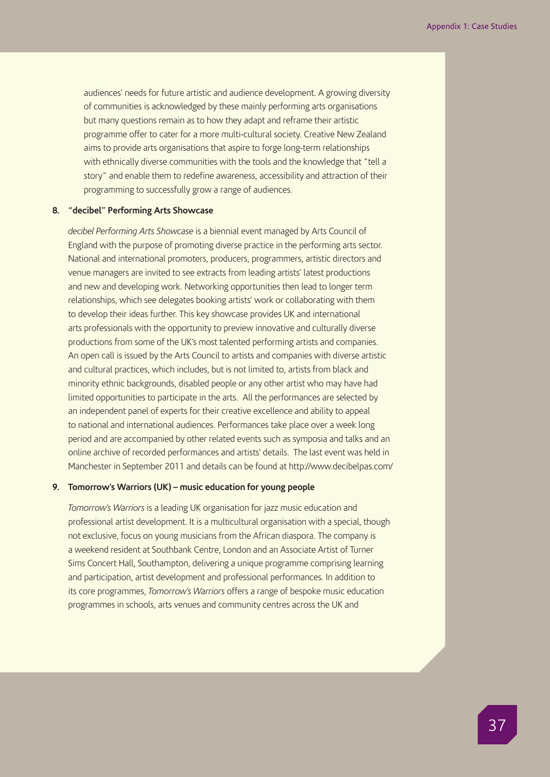audiences' needs for future artistic and audience development. A growing diversity of communities is acknowledged by these mainly performing arts organisations but many questions remain as to how they adapt and reframe their artistic programme offer to cater for a more multi-cultural society. Creative New Zealand aims to provide arts organisations that aspire to forge long-term relationships with ethnically diverse communities with the tools and the knowledge that "tell a story" and enable them to redefine awareness, accessibility and attraction of their programming to successfully grow a range of audiences.

### **8. "decibel" Performing Arts Showcase**

*decibel Performing Arts Showcase* is a biennial event managed by Arts Council of England with the purpose of promoting diverse practice in the performing arts sector. National and international promoters, producers, programmers, artistic directors and venue managers are invited to see extracts from leading artists' latest productions and new and developing work. Networking opportunities then lead to longer term relationships, which see delegates booking artists' work or collaborating with them to develop their ideas further. This key showcase provides UK and international arts professionals with the opportunity to preview innovative and culturally diverse productions from some of the UK's most talented performing artists and companies. An open call is issued by the Arts Council to artists and companies with diverse artistic and cultural practices, which includes, but is not limited to, artists from black and minority ethnic backgrounds, disabled people or any other artist who may have had limited opportunities to participate in the arts. All the performances are selected by an independent panel of experts for their creative excellence and ability to appeal to national and international audiences. Performances take place over a week long period and are accompanied by other related events such as symposia and talks and an online archive of recorded performances and artists' details. The last event was held in Manchester in September 2011 and details can be found at http://www.decibelpas.com/

## **9. Tomorrow's Warriors (UK) – music education for young people**

*Tomorrow's Warriors* is a leading UK organisation for jazz music education and professional artist development. It is a multicultural organisation with a special, though not exclusive, focus on young musicians from the African diaspora. The company is a weekend resident at Southbank Centre, London and an Associate Artist of Turner Sims Concert Hall, Southampton, delivering a unique programme comprising learning and participation, artist development and professional performances. In addition to its core programmes, *Tomorrow's Warriors* offers a range of bespoke music education programmes in schools, arts venues and community centres across the UK and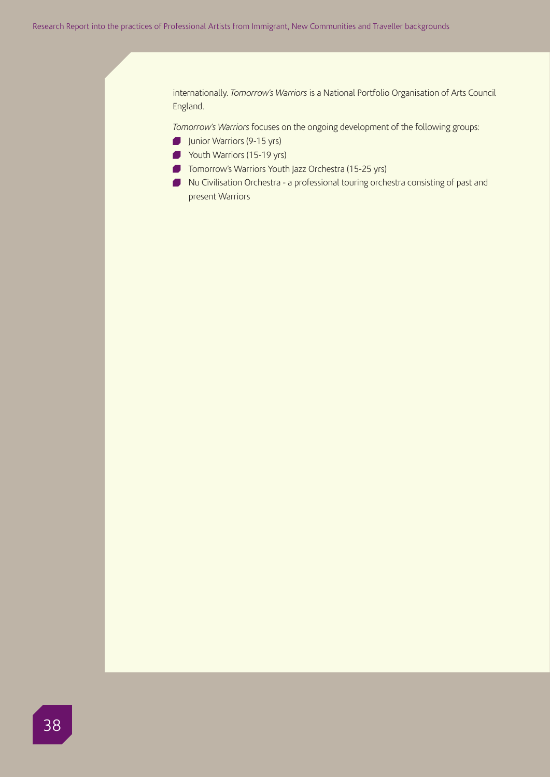internationally. *Tomorrow's Warriors* is a National Portfolio Organisation of Arts Council England.

*Tomorrow's Warriors* focuses on the ongoing development of the following groups:

- Junior Warriors (9-15 yrs)
- Youth Warriors (15-19 yrs)
- **Tomorrow's Warriors Youth Jazz Orchestra (15-25 yrs)**
- Nu Civilisation Orchestra a professional touring orchestra consisting of past and present Warriors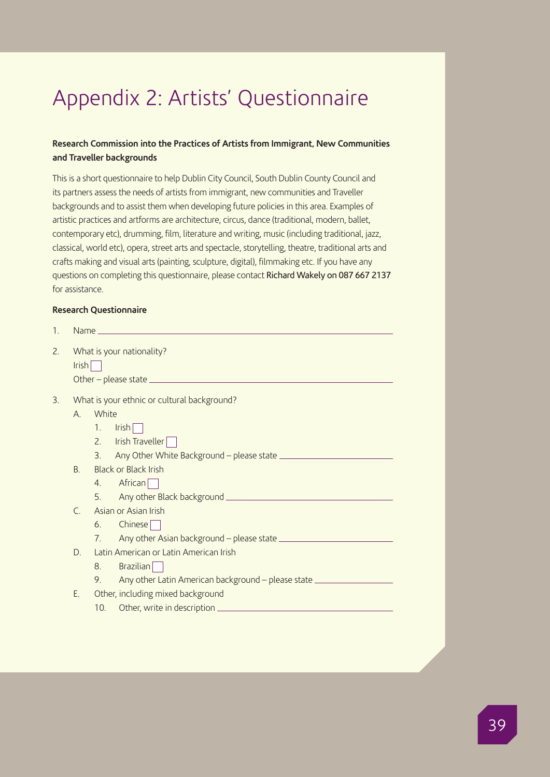## Appendix 2: Artists' Questionnaire

## **Research Commission into the Practices of Artists from Immigrant, New Communities and Traveller backgrounds**

This is a short questionnaire to help Dublin City Council, South Dublin County Council and its partners assess the needs of artists from immigrant, new communities and Traveller backgrounds and to assist them when developing future policies in this area. Examples of artistic practices and artforms are architecture, circus, dance (traditional, modern, ballet, contemporary etc), drumming, film, literature and writing, music (including traditional, jazz, classical, world etc), opera, street arts and spectacle, storytelling, theatre, traditional arts and crafts making and visual arts (painting, sculpture, digital), filmmaking etc. If you have any questions on completing this questionnaire, please contact Richard Wakely on 087 667 2137 for assistance.

## **Research Questionnaire**

| 1. |                                             |                                   |                                                                                   |  |  |  |  |
|----|---------------------------------------------|-----------------------------------|-----------------------------------------------------------------------------------|--|--|--|--|
| 2. | What is your nationality?<br>$Irish$        |                                   |                                                                                   |  |  |  |  |
| 3. | What is your ethnic or cultural background? |                                   |                                                                                   |  |  |  |  |
|    | White<br>$\mathsf{A}$                       |                                   |                                                                                   |  |  |  |  |
|    |                                             | 1 <sup>1</sup>                    | Irish                                                                             |  |  |  |  |
|    |                                             | 2.                                | Irish Traveller                                                                   |  |  |  |  |
|    |                                             | 3 <sub>1</sub>                    |                                                                                   |  |  |  |  |
|    | B.                                          |                                   | Black or Black Irish                                                              |  |  |  |  |
|    |                                             | 4.                                | African                                                                           |  |  |  |  |
|    |                                             | 5.                                |                                                                                   |  |  |  |  |
|    | $\subset$                                   | Asian or Asian Irish              |                                                                                   |  |  |  |  |
|    |                                             | 6.                                | Chinese                                                                           |  |  |  |  |
|    |                                             | 7 <sub>1</sub>                    |                                                                                   |  |  |  |  |
|    | D.                                          |                                   | Latin American or Latin American Irish                                            |  |  |  |  |
|    |                                             | 8.                                | Brazilian                                                                         |  |  |  |  |
|    |                                             | 9.                                | Any other Latin American background - please state ______________________________ |  |  |  |  |
|    | Ε.                                          | Other, including mixed background |                                                                                   |  |  |  |  |
|    |                                             | 10.                               |                                                                                   |  |  |  |  |
|    |                                             |                                   |                                                                                   |  |  |  |  |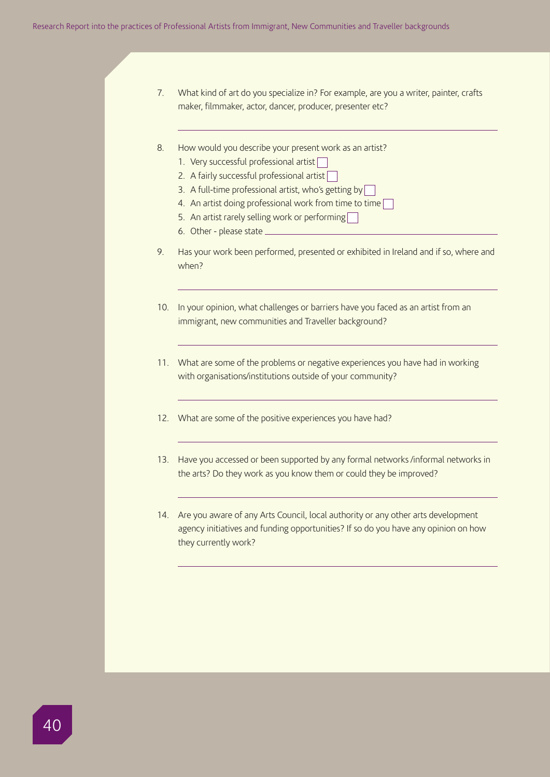- 7. What kind of art do you specialize in? For example, are you a writer, painter, crafts maker, filmmaker, actor, dancer, producer, presenter etc?
- 8. How would you describe your present work as an artist?
	- 1. Very successful professional artist
	- 2. A fairly successful professional artist
	- 3. A full-time professional artist, who's getting by
	- 4. An artist doing professional work from time to time
	- 5. An artist rarely selling work or performing
	- 6. Other please state
- 9. Has your work been performed, presented or exhibited in Ireland and if so, where and when?
- 10. In your opinion, what challenges or barriers have you faced as an artist from an immigrant, new communities and Traveller background?
- 11. What are some of the problems or negative experiences you have had in working with organisations/institutions outside of your community?
- 12. What are some of the positive experiences you have had?
- 13. Have you accessed or been supported by any formal networks /informal networks in the arts? Do they work as you know them or could they be improved?
- 14. Are you aware of any Arts Council, local authority or any other arts development agency initiatives and funding opportunities? If so do you have any opinion on how they currently work?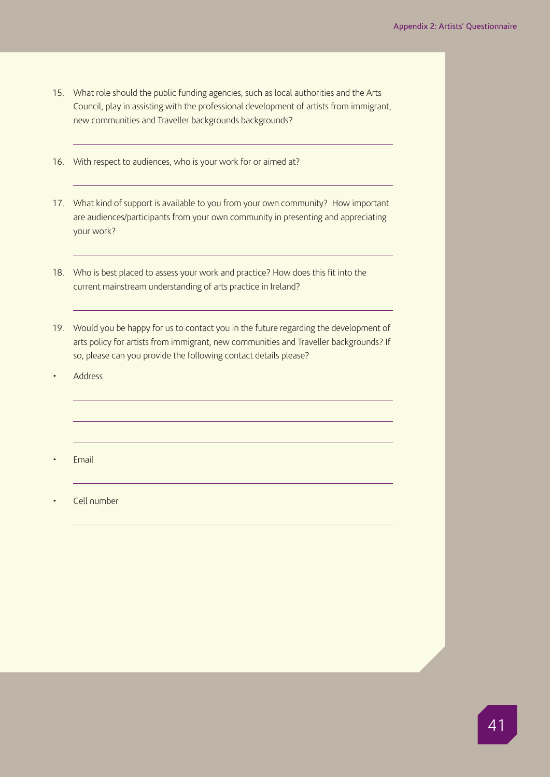- 15. What role should the public funding agencies, such as local authorities and the Arts Council, play in assisting with the professional development of artists from immigrant, new communities and Traveller backgrounds backgrounds?
- 16. With respect to audiences, who is your work for or aimed at?
- 17. What kind of support is available to you from your own community? How important are audiences/participants from your own community in presenting and appreciating your work?
- 18. Who is best placed to assess your work and practice? How does this fit into the current mainstream understanding of arts practice in Ireland?
- 19. Would you be happy for us to contact you in the future regarding the development of arts policy for artists from immigrant, new communities and Traveller backgrounds? If so, please can you provide the following contact details please?
- Address
- Email
- Cell number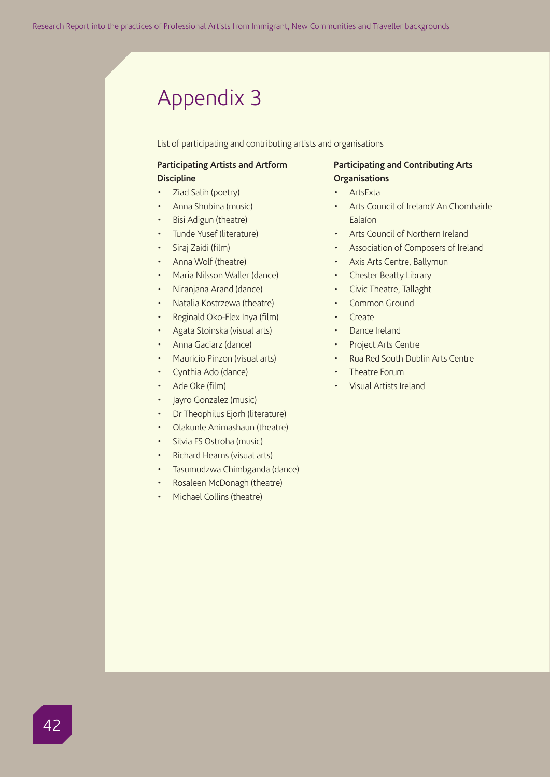## Appendix 3

List of participating and contributing artists and organisations

## **Participating Artists and Artform Discipline**

- Ziad Salih (poetry)
- Anna Shubina (music)
- Bisi Adigun (theatre)
- Tunde Yusef (literature)
- Siraj Zaidi (film)
- Anna Wolf (theatre)
- Maria Nilsson Waller (dance)
- Niranjana Arand (dance)
- Natalia Kostrzewa (theatre)
- Reginald Oko-Flex Inya (film)
- Agata Stoinska (visual arts)
- Anna Gaciarz (dance)
- Mauricio Pinzon (visual arts)
- Cynthia Ado (dance)
- Ade Oke (film)
- Jayro Gonzalez (music)
- Dr Theophilus Ejorh (literature)
- Olakunle Animashaun (theatre)
- Silvia FS Ostroha (music)
- Richard Hearns (visual arts)
- Tasumudzwa Chimbganda (dance)
- Rosaleen McDonagh (theatre)
- Michael Collins (theatre)

## **Participating and Contributing Arts Organisations**

- ArtsExta
- Arts Council of Ireland/ An Chomhairle Ealaíon
- Arts Council of Northern Ireland
- Association of Composers of Ireland
- Axis Arts Centre, Ballymun
- Chester Beatty Library
- Civic Theatre, Tallaght
- Common Ground
- Create
- Dance Ireland
- Project Arts Centre
- Rua Red South Dublin Arts Centre
- Theatre Forum
- Visual Artists Ireland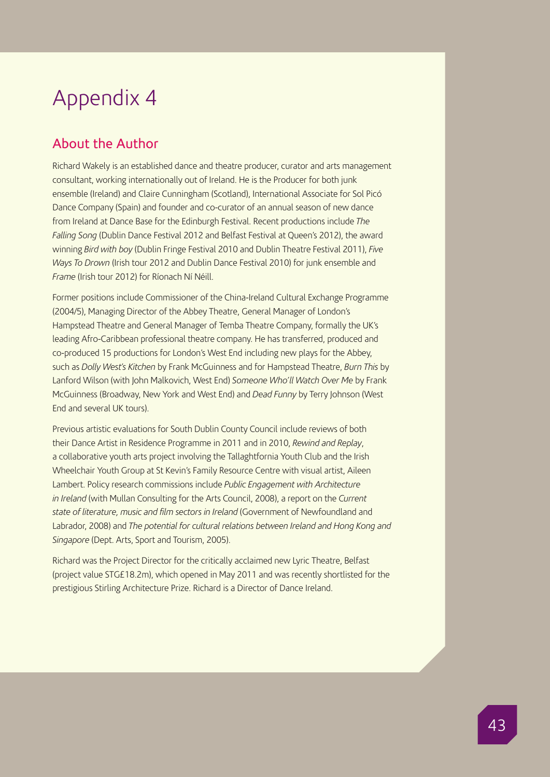## Appendix 4

## About the Author

Richard Wakely is an established dance and theatre producer, curator and arts management consultant, working internationally out of Ireland. He is the Producer for both junk ensemble (Ireland) and Claire Cunningham (Scotland), International Associate for Sol Picó Dance Company (Spain) and founder and co-curator of an annual season of new dance from Ireland at Dance Base for the Edinburgh Festival. Recent productions include *The Falling Song* (Dublin Dance Festival 2012 and Belfast Festival at Queen's 2012), the award winning *Bird with boy* (Dublin Fringe Festival 2010 and Dublin Theatre Festival 2011), *Five Ways To Drown* (Irish tour 2012 and Dublin Dance Festival 2010) for junk ensemble and *Frame* (Irish tour 2012) for Ríonach Ní Néill.

Former positions include Commissioner of the China-Ireland Cultural Exchange Programme (2004/5), Managing Director of the Abbey Theatre, General Manager of London's Hampstead Theatre and General Manager of Temba Theatre Company, formally the UK's leading Afro-Caribbean professional theatre company. He has transferred, produced and co-produced 15 productions for London's West End including new plays for the Abbey, such as *Dolly West's Kitchen* by Frank McGuinness and for Hampstead Theatre, *Burn This* by Lanford Wilson (with John Malkovich, West End) *Someone Who'll Watch Over Me* by Frank McGuinness (Broadway, New York and West End) and *Dead Funny* by Terry Johnson (West End and several UK tours).

Previous artistic evaluations for South Dublin County Council include reviews of both their Dance Artist in Residence Programme in 2011 and in 2010, *Rewind and Replay*, a collaborative youth arts project involving the Tallaghtfornia Youth Club and the Irish Wheelchair Youth Group at St Kevin's Family Resource Centre with visual artist, Aileen Lambert. Policy research commissions include *Public Engagement with Architecture in Ireland* (with Mullan Consulting for the Arts Council, 2008), a report on the *Current state of literature, music and film sectors in Ireland* (Government of Newfoundland and Labrador, 2008) and *The potential for cultural relations between Ireland and Hong Kong and Singapore* (Dept. Arts, Sport and Tourism, 2005).

Richard was the Project Director for the critically acclaimed new Lyric Theatre, Belfast (project value STG£18.2m), which opened in May 2011 and was recently shortlisted for the prestigious Stirling Architecture Prize. Richard is a Director of Dance Ireland.